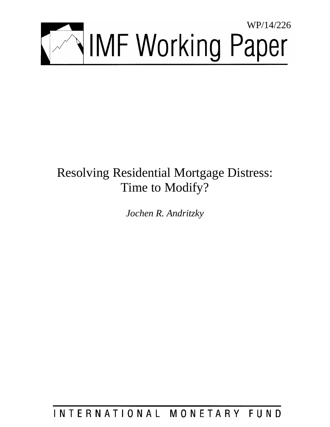

# Resolving Residential Mortgage Distress: Time to Modify?

*Jochen R. Andritzky*

INTERNATIONAL MONETARY FUND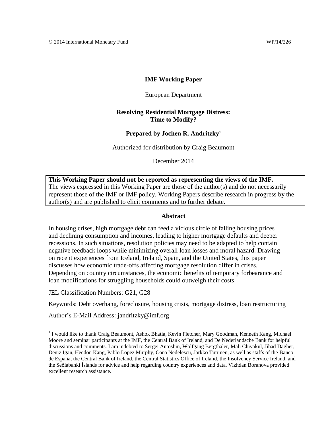## **IMF Working Paper**

European Department

## **Resolving Residential Mortgage Distress: Time to Modify?**

#### **Prepared by Jochen R. Andritzky<sup>1</sup>**

Authorized for distribution by Craig Beaumont

December 2014

**This Working Paper should not be reported as representing the views of the IMF.** The views expressed in this Working Paper are those of the author(s) and do not necessarily represent those of the IMF or IMF policy. Working Papers describe research in progress by the author(s) and are published to elicit comments and to further debate.

#### **Abstract**

In housing crises, high mortgage debt can feed a vicious circle of falling housing prices and declining consumption and incomes, leading to higher mortgage defaults and deeper recessions. In such situations, resolution policies may need to be adapted to help contain negative feedback loops while minimizing overall loan losses and moral hazard. Drawing on recent experiences from Iceland, Ireland, Spain, and the United States, this paper discusses how economic trade-offs affecting mortgage resolution differ in crises. Depending on country circumstances, the economic benefits of temporary forbearance and loan modifications for struggling households could outweigh their costs.

JEL Classification Numbers: G21, G28

 $\overline{a}$ 

Keywords: Debt overhang, foreclosure, housing crisis, mortgage distress, loan restructuring

Author's E-Mail Address: jandritzky@imf.org

<sup>&</sup>lt;sup>1</sup> I would like to thank Craig Beaumont, Ashok Bhatia, Kevin Fletcher, Mary Goodman, Kenneth Kang, Michael Moore and seminar participants at the IMF, the Central Bank of Ireland, and De Nederlandsche Bank for helpful discussions and comments. I am indebted to Sergei Antoshin, Wolfgang Bergthaler, Mali Chivakul, Jihad Dagher, Deniz Igan, Heedon Kang, Pablo Lopez Murphy, Oana Nedelescu, Jarkko Turunen, as well as staffs of the Banco de España, the Central Bank of Ireland, the Central Statistics Office of Ireland, the Insolvency Service Ireland, and the Seðlabanki Íslands for advice and help regarding country experiences and data. Vizhdan Boranova provided excellent research assistance.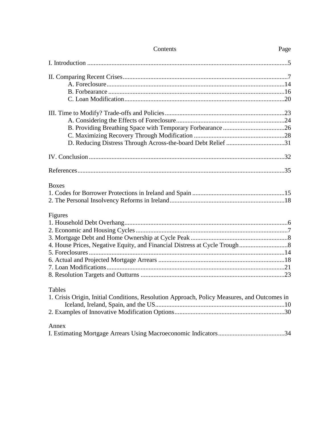| Contents                                                                                    | Page |
|---------------------------------------------------------------------------------------------|------|
|                                                                                             |      |
|                                                                                             |      |
|                                                                                             |      |
|                                                                                             |      |
|                                                                                             |      |
|                                                                                             |      |
|                                                                                             |      |
|                                                                                             |      |
|                                                                                             |      |
| D. Reducing Distress Through Across-the-board Debt Relief 31                                |      |
|                                                                                             |      |
|                                                                                             |      |
| <b>Boxes</b>                                                                                |      |
|                                                                                             |      |
|                                                                                             |      |
| Figures                                                                                     |      |
|                                                                                             |      |
|                                                                                             |      |
|                                                                                             |      |
|                                                                                             |      |
|                                                                                             |      |
|                                                                                             |      |
|                                                                                             |      |
|                                                                                             |      |
| <b>Tables</b>                                                                               |      |
| 1. Crisis Origin, Initial Conditions, Resolution Approach, Policy Measures, and Outcomes in |      |
|                                                                                             |      |
|                                                                                             |      |
| Annex                                                                                       |      |
|                                                                                             |      |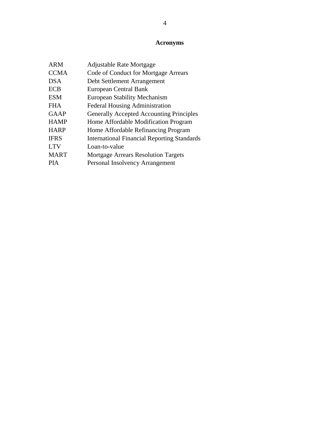# **Acronyms**

| <b>ARM</b>  | <b>Adjustable Rate Mortgage</b>                    |
|-------------|----------------------------------------------------|
| <b>CCMA</b> | Code of Conduct for Mortgage Arrears               |
| <b>DSA</b>  | Debt Settlement Arrangement                        |
| <b>ECB</b>  | European Central Bank                              |
| <b>ESM</b>  | <b>European Stability Mechanism</b>                |
| FH A        | <b>Federal Housing Administration</b>              |
| <b>GAAP</b> | <b>Generally Accepted Accounting Principles</b>    |
| <b>HAMP</b> | Home Affordable Modification Program               |
| <b>HARP</b> | Home Affordable Refinancing Program                |
| <b>IFRS</b> | <b>International Financial Reporting Standards</b> |
| <b>LTV</b>  | Loan-to-value                                      |
| <b>MART</b> | <b>Mortgage Arrears Resolution Targets</b>         |
| <b>PIA</b>  | Personal Insolvency Arrangement                    |
|             |                                                    |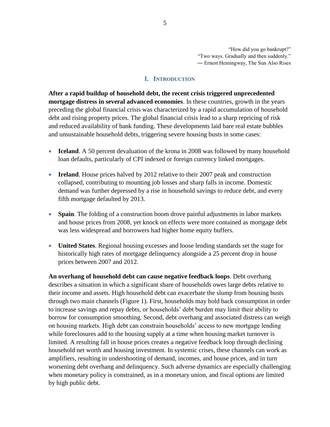"How did you go bankrupt?" "Two ways. Gradually and then suddenly." ― Ernest Hemingway, The Sun Also Rises

#### **I. INTRODUCTION**

**After a rapid buildup of household debt, the recent crisis triggered unprecedented mortgage distress in several advanced economies**. In these countries, growth in the years preceding the global financial crisis was characterized by a rapid accumulation of household debt and rising property prices. The global financial crisis lead to a sharp repricing of risk and reduced availability of bank funding. These developments laid bare real estate bubbles and unsustainable household debts, triggering severe housing busts in some cases:

- **Iceland**. A 50 percent devaluation of the krona in 2008 was followed by many household loan defaults, particularly of CPI indexed or foreign currency linked mortgages.
- **Ireland**. House prices halved by 2012 relative to their 2007 peak and construction collapsed, contributing to mounting job losses and sharp falls in income. Domestic demand was further depressed by a rise in household savings to reduce debt, and every fifth mortgage defaulted by 2013.
- **Spain**. The folding of a construction boom drove painful adjustments in labor markets and house prices from 2008, yet knock on effects were more contained as mortgage debt was less widespread and borrowers had higher home equity buffers.
- **United States**. Regional housing excesses and loose lending standards set the stage for historically high rates of mortgage delinquency alongside a 25 percent drop in house prices between 2007 and 2012.

**An overhang of household debt can cause negative feedback loops**. Debt overhang describes a situation in which a significant share of households owes large debts relative to their income and assets. High household debt can exacerbate the slump from housing busts through two main channels (Figure 1). First, households may hold back consumption in order to increase savings and repay debts, or households' debt burden may limit their ability to borrow for consumption smoothing. Second, debt overhang and associated distress can weigh on housing markets. High debt can constrain households' access to new mortgage lending while foreclosures add to the housing supply at a time when housing market turnover is limited. A resulting fall in house prices creates a negative feedback loop through declining household net worth and housing investment. In systemic crises, these channels can work as amplifiers, resulting in undershooting of demand, incomes, and house prices, and in turn worsening debt overhang and delinquency. Such adverse dynamics are especially challenging when monetary policy is constrained, as in a monetary union, and fiscal options are limited by high public debt.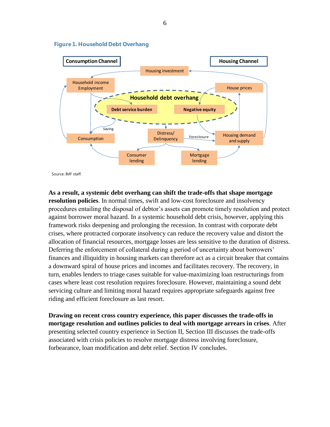

#### **Figure 1. Household Debt Overhang**

Source: IMF staff.

**As a result, a systemic debt overhang can shift the trade-offs that shape mortgage resolution policies**. In normal times, swift and low-cost foreclosure and insolvency procedures entailing the disposal of debtor's assets can promote timely resolution and protect against borrower moral hazard. In a systemic household debt crisis, however, applying this framework risks deepening and prolonging the recession. In contrast with corporate debt crises, where protracted corporate insolvency can reduce the recovery value and distort the allocation of financial resources, mortgage losses are less sensitive to the duration of distress. Deferring the enforcement of collateral during a period of uncertainty about borrowers' finances and illiquidity in housing markets can therefore act as a circuit breaker that contains a downward spiral of house prices and incomes and facilitates recovery. The recovery, in turn, enables lenders to triage cases suitable for value-maximizing loan restructurings from cases where least cost resolution requires foreclosure. However, maintaining a sound debt servicing culture and limiting moral hazard requires appropriate safeguards against free riding and efficient foreclosure as last resort.

**Drawing on recent cross country experience, this paper discusses the trade-offs in mortgage resolution and outlines policies to deal with mortgage arrears in crises**. After presenting selected country experience in Section II, Section III discusses the trade-offs associated with crisis policies to resolve mortgage distress involving foreclosure, forbearance, loan modification and debt relief. Section IV concludes.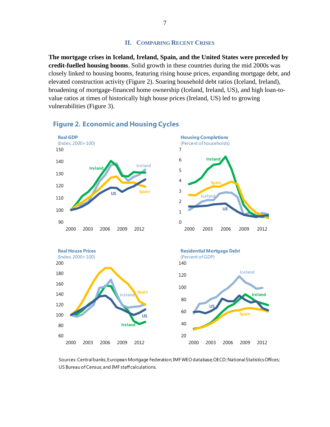#### **II. COMPARING RECENT CRISES**

**The mortgage crises in Iceland, Ireland, Spain, and the United States were preceded by credit-fuelled housing booms**. Solid growth in these countries during the mid 2000s was closely linked to housing booms, featuring rising house prices, expanding mortgage debt, and elevated construction activity (Figure 2). Soaring household debt ratios (Iceland, Ireland), broadening of mortgage-financed home ownership (Iceland, Ireland, US), and high loan-tovalue ratios at times of historically high house prices (Ireland, US) led to growing vulnerabilities (Figure 3).



# **Figure 2. Economic and Housing Cycles**

Sources: Central banks; European Mortgage Federation; IMF WEO database;OECD; National Statistics Offices; US Bureau of Census; and IMF staff calculations.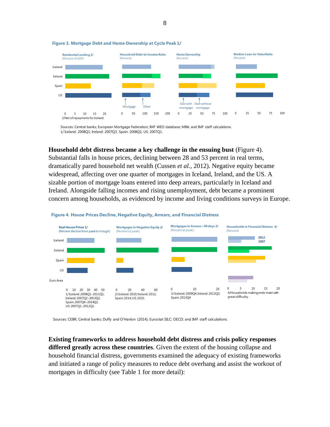

#### **Figure 3. Mortgage Debt and Home Ownership at Cycle Peak 1/**

Sources: Central banks; European Mortgage Federation; IMF WEO database; MBA; and IMF staff calculations. 1/ Iceland: 2008Q1; Ireland: 2007Q3; Spain: 2008Q1; US: 2007Q1.

## **Household debt distress became a key challenge in the ensuing bust** (Figure 4).

Substantial falls in house prices, declining between 28 and 53 percent in real terms, dramatically pared household net wealth (Cussen *et al.*, 2012). Negative equity became widespread, affecting over one quarter of mortgages in Iceland, Ireland, and the US. A sizable portion of mortgage loans entered into deep arrears, particularly in Iceland and Ireland. Alongside falling incomes and rising unemployment, debt became a prominent concern among households, as evidenced by income and living conditions surveys in Europe.



#### **Figure 4. House Prices Decline, Negative Equity, Arrears, and Financial Distress**

Sources: CEBR; Central banks; Duffy and O'Hanlon (2014); Eurostat SILC; OECD; and IMF staff calculations.

**Existing frameworks to address household debt distress and crisis policy responses differed greatly across these countries**. Given the extent of the housing collapse and household financial distress, governments examined the adequacy of existing frameworks and initiated a range of policy measures to reduce debt overhang and assist the workout of mortgages in difficulty (see Table 1 for more detail):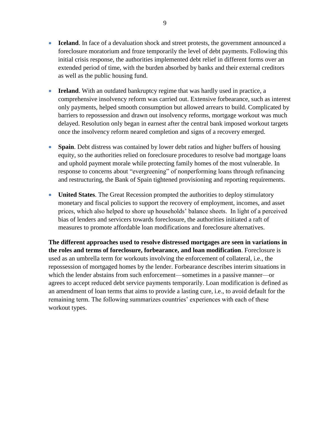- **Iceland**. In face of a devaluation shock and street protests, the government announced a foreclosure moratorium and froze temporarily the level of debt payments. Following this initial crisis response, the authorities implemented debt relief in different forms over an extended period of time, with the burden absorbed by banks and their external creditors as well as the public housing fund.
- **Ireland**. With an outdated bankruptcy regime that was hardly used in practice, a comprehensive insolvency reform was carried out. Extensive forbearance, such as interest only payments, helped smooth consumption but allowed arrears to build. Complicated by barriers to repossession and drawn out insolvency reforms, mortgage workout was much delayed. Resolution only began in earnest after the central bank imposed workout targets once the insolvency reform neared completion and signs of a recovery emerged.
- **Spain**. Debt distress was contained by lower debt ratios and higher buffers of housing equity, so the authorities relied on foreclosure procedures to resolve bad mortgage loans and uphold payment morale while protecting family homes of the most vulnerable. In response to concerns about "evergreening" of nonperforming loans through refinancing and restructuring, the Bank of Spain tightened provisioning and reporting requirements.
- **United States**. The Great Recession prompted the authorities to deploy stimulatory monetary and fiscal policies to support the recovery of employment, incomes, and asset prices, which also helped to shore up households' balance sheets. In light of a perceived bias of lenders and servicers towards foreclosure, the authorities initiated a raft of measures to promote affordable loan modifications and foreclosure alternatives.

**The different approaches used to resolve distressed mortgages are seen in variations in the roles and terms of foreclosure, forbearance, and loan modification**. Foreclosure is used as an umbrella term for workouts involving the enforcement of collateral, i.e., the repossession of mortgaged homes by the lender. Forbearance describes interim situations in which the lender abstains from such enforcement—sometimes in a passive manner—or agrees to accept reduced debt service payments temporarily. Loan modification is defined as an amendment of loan terms that aims to provide a lasting cure, i.e., to avoid default for the remaining term. The following summarizes countries' experiences with each of these workout types.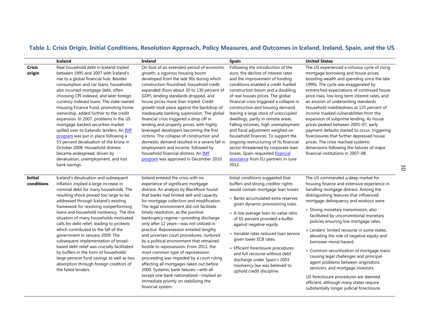# **Table 1. Crisis Origin, Initial Conditions, Resolution Approach, Policy Measures, and Outcomes in Iceland, Ireland, Spain, and the US**

|                         | <b>Iceland</b>                                                                                                                                                                                                                                                                                                                                                                                                                                                                                                                                                                                                                                                                                                             | Ireland                                                                                                                                                                                                                                                                                                                                                                                                                                                                                                                                                                                                                                                                                                                                                 | <b>Spain</b>                                                                                                                                                                                                                                                                                                                                                                                                                                                                                                                                                                                                                                                                  | <b>United States</b>                                                                                                                                                                                                                                                                                                                                                                                                                                                                                                                                                                                                                                                                                                   |
|-------------------------|----------------------------------------------------------------------------------------------------------------------------------------------------------------------------------------------------------------------------------------------------------------------------------------------------------------------------------------------------------------------------------------------------------------------------------------------------------------------------------------------------------------------------------------------------------------------------------------------------------------------------------------------------------------------------------------------------------------------------|---------------------------------------------------------------------------------------------------------------------------------------------------------------------------------------------------------------------------------------------------------------------------------------------------------------------------------------------------------------------------------------------------------------------------------------------------------------------------------------------------------------------------------------------------------------------------------------------------------------------------------------------------------------------------------------------------------------------------------------------------------|-------------------------------------------------------------------------------------------------------------------------------------------------------------------------------------------------------------------------------------------------------------------------------------------------------------------------------------------------------------------------------------------------------------------------------------------------------------------------------------------------------------------------------------------------------------------------------------------------------------------------------------------------------------------------------|------------------------------------------------------------------------------------------------------------------------------------------------------------------------------------------------------------------------------------------------------------------------------------------------------------------------------------------------------------------------------------------------------------------------------------------------------------------------------------------------------------------------------------------------------------------------------------------------------------------------------------------------------------------------------------------------------------------------|
| <b>Crisis</b><br>origin | Real household debt in Iceland tripled<br>between 1995 and 2007 with Iceland's<br>rise to a global financial hub. Besides<br>consumption and car loans, households<br>also incurred mortgage debt, often<br>choosing CPI indexed, and later foreign<br>currency indexed loans. The state-owned<br>Housing Finance Fund, promoting home<br>ownership, added further to the credit<br>expansion. In 2007, problems in the US<br>mortgage-backed securities market<br>spilled over to Icelandic lenders. An IMF<br>program was put in place following a<br>53 percent devaluation of the krona in<br>October 2008. Household distress<br>became widespread, driven by<br>devaluation, unemployment, and lost<br>bank savings. | On foot of an extended period of economic<br>growth, a vigorous housing boom<br>developed from the late 90s during which<br>construction flourished, household credit<br>expanded (from about 30 to 130 percent of<br>GDP), lending standards dropped, and<br>house prices more than tripled. Credit<br>growth took place against the backdrop of<br>inadequate banking supervision. The global<br>financial crisis triggered a drop off in<br>lending and property prices, with highly<br>leveraged developers becoming the first<br>victims. The collapse of construction and<br>domestic demand resulted in a severe fall in<br>employment and income, followed by<br>household financial distress. An IMF<br>program was approved in December 2010. | Following the introduction of the<br>euro, the decline of interest rates<br>and the improvement of funding<br>conditions enabled a credit-fuelled<br>construction boom and a doubling<br>of real houses prices. The global<br>financial crisis triggered a collapse in<br>construction and housing demand,<br>leaving a large stock of unoccupied<br>dwellings, partly in remote areas.<br>Falling incomes, high unemployment<br>and fiscal adjustment weighed on<br>household finances. To support the<br>ongoing restructuring of its financial<br>sector threatened by corporate loan<br>losses, Spain requested financial<br>assistance from EU partners in June<br>2012. | The US experienced a virtuous cycle of rising<br>mortgage borrowing and house prices,<br>boosting wealth and spending since the late<br>1990s. The cycle was exaggerated by<br>entrenched expectations of continued house<br>price rises, low long term interest rates, and<br>an erosion of underwriting standards.<br>Household indebtedness at 125 percent of<br>income masked vulnerabilities from the<br>expansion of subprime lending. As house<br>prices peaked between 2005-07, early<br>payment defaults started to occur, triggering<br>foreclosures that further depressed house<br>prices. The crisis reached systemic<br>dimensions following the failures of major<br>financial institutions in 2007-08. |
| <b>Initial</b>          | Iceland's devaluation and subsequent                                                                                                                                                                                                                                                                                                                                                                                                                                                                                                                                                                                                                                                                                       | Ireland entered the crisis with no                                                                                                                                                                                                                                                                                                                                                                                                                                                                                                                                                                                                                                                                                                                      | Initial conditions suggested that                                                                                                                                                                                                                                                                                                                                                                                                                                                                                                                                                                                                                                             | The US commanded a deep market for                                                                                                                                                                                                                                                                                                                                                                                                                                                                                                                                                                                                                                                                                     |
| conditions              | inflation implied a large increase in                                                                                                                                                                                                                                                                                                                                                                                                                                                                                                                                                                                                                                                                                      | experience of significant mortgage                                                                                                                                                                                                                                                                                                                                                                                                                                                                                                                                                                                                                                                                                                                      | buffers and strong creditor rights                                                                                                                                                                                                                                                                                                                                                                                                                                                                                                                                                                                                                                            | housing finance and extensive experience in                                                                                                                                                                                                                                                                                                                                                                                                                                                                                                                                                                                                                                                                            |
|                         | nominal debt for many households. The<br>resulting shock proved too large to be<br>addressed through Iceland's existing<br>framework for resolving nonperforming<br>loans and household insolvency. The dire<br>situation of many households motivated<br>calls for debt relief, leading to protests<br>which contributed to the fall of the<br>government in January 2009. The<br>subsequent implementation of broad-<br>based debt relief was crucially facilitated<br>by buffers in the form of households'<br>large pension fund savings as well as loss<br>absorption through foreign creditors of<br>the failed lenders.                                                                                             | distress. An analysis by BlackRock found<br>that banks had limited skill and capacity<br>for mortgage collection and modification.                                                                                                                                                                                                                                                                                                                                                                                                                                                                                                                                                                                                                      | would contain mortgage loan losses:                                                                                                                                                                                                                                                                                                                                                                                                                                                                                                                                                                                                                                           | handling mortgage distress. Among the                                                                                                                                                                                                                                                                                                                                                                                                                                                                                                                                                                                                                                                                                  |
|                         |                                                                                                                                                                                                                                                                                                                                                                                                                                                                                                                                                                                                                                                                                                                            |                                                                                                                                                                                                                                                                                                                                                                                                                                                                                                                                                                                                                                                                                                                                                         | • Banks accumulated extra reserves<br>given dynamic provisioning rules.                                                                                                                                                                                                                                                                                                                                                                                                                                                                                                                                                                                                       | distinguishing features that influenced                                                                                                                                                                                                                                                                                                                                                                                                                                                                                                                                                                                                                                                                                |
|                         |                                                                                                                                                                                                                                                                                                                                                                                                                                                                                                                                                                                                                                                                                                                            |                                                                                                                                                                                                                                                                                                                                                                                                                                                                                                                                                                                                                                                                                                                                                         |                                                                                                                                                                                                                                                                                                                                                                                                                                                                                                                                                                                                                                                                               | mortgage delinquency and workout were:                                                                                                                                                                                                                                                                                                                                                                                                                                                                                                                                                                                                                                                                                 |
|                         |                                                                                                                                                                                                                                                                                                                                                                                                                                                                                                                                                                                                                                                                                                                            | The legal environment did not facilitate                                                                                                                                                                                                                                                                                                                                                                                                                                                                                                                                                                                                                                                                                                                |                                                                                                                                                                                                                                                                                                                                                                                                                                                                                                                                                                                                                                                                               | • Strong monetary transmission, also                                                                                                                                                                                                                                                                                                                                                                                                                                                                                                                                                                                                                                                                                   |
|                         |                                                                                                                                                                                                                                                                                                                                                                                                                                                                                                                                                                                                                                                                                                                            | timely resolution, as the punitive                                                                                                                                                                                                                                                                                                                                                                                                                                                                                                                                                                                                                                                                                                                      | • A low average loan-to-value ratio                                                                                                                                                                                                                                                                                                                                                                                                                                                                                                                                                                                                                                           | facilitated by unconventional monetary                                                                                                                                                                                                                                                                                                                                                                                                                                                                                                                                                                                                                                                                                 |
|                         |                                                                                                                                                                                                                                                                                                                                                                                                                                                                                                                                                                                                                                                                                                                            | bankruptcy regime-providing discharge<br>only after 12 years-was not utilized in                                                                                                                                                                                                                                                                                                                                                                                                                                                                                                                                                                                                                                                                        | of 65 percent provided a buffer                                                                                                                                                                                                                                                                                                                                                                                                                                                                                                                                                                                                                                               | policies ensuring low mortgage rates.                                                                                                                                                                                                                                                                                                                                                                                                                                                                                                                                                                                                                                                                                  |
|                         |                                                                                                                                                                                                                                                                                                                                                                                                                                                                                                                                                                                                                                                                                                                            | practice. Repossession entailed lengthy                                                                                                                                                                                                                                                                                                                                                                                                                                                                                                                                                                                                                                                                                                                 | against negative equity.                                                                                                                                                                                                                                                                                                                                                                                                                                                                                                                                                                                                                                                      | • Lenders' limited recourse in some states,                                                                                                                                                                                                                                                                                                                                                                                                                                                                                                                                                                                                                                                                            |
|                         |                                                                                                                                                                                                                                                                                                                                                                                                                                                                                                                                                                                                                                                                                                                            | and uncertain court procedures, nurtured                                                                                                                                                                                                                                                                                                                                                                                                                                                                                                                                                                                                                                                                                                                | • Variable rates reduced loan service                                                                                                                                                                                                                                                                                                                                                                                                                                                                                                                                                                                                                                         | elevating the role of negative equity and                                                                                                                                                                                                                                                                                                                                                                                                                                                                                                                                                                                                                                                                              |
|                         |                                                                                                                                                                                                                                                                                                                                                                                                                                                                                                                                                                                                                                                                                                                            | by a political environment that remained                                                                                                                                                                                                                                                                                                                                                                                                                                                                                                                                                                                                                                                                                                                | given lower ECB rates.                                                                                                                                                                                                                                                                                                                                                                                                                                                                                                                                                                                                                                                        | borrower moral hazard.                                                                                                                                                                                                                                                                                                                                                                                                                                                                                                                                                                                                                                                                                                 |
|                         |                                                                                                                                                                                                                                                                                                                                                                                                                                                                                                                                                                                                                                                                                                                            | hostile to repossession. From 2011, the                                                                                                                                                                                                                                                                                                                                                                                                                                                                                                                                                                                                                                                                                                                 | • Efficient foreclosure procedures<br>and full recourse without debt                                                                                                                                                                                                                                                                                                                                                                                                                                                                                                                                                                                                          |                                                                                                                                                                                                                                                                                                                                                                                                                                                                                                                                                                                                                                                                                                                        |
|                         |                                                                                                                                                                                                                                                                                                                                                                                                                                                                                                                                                                                                                                                                                                                            | most common type of repossession                                                                                                                                                                                                                                                                                                                                                                                                                                                                                                                                                                                                                                                                                                                        |                                                                                                                                                                                                                                                                                                                                                                                                                                                                                                                                                                                                                                                                               | • Common securitization of mortgage loans<br>causing legal challenges and principal-                                                                                                                                                                                                                                                                                                                                                                                                                                                                                                                                                                                                                                   |
|                         |                                                                                                                                                                                                                                                                                                                                                                                                                                                                                                                                                                                                                                                                                                                            | proceeding was impeded by a court ruling                                                                                                                                                                                                                                                                                                                                                                                                                                                                                                                                                                                                                                                                                                                | discharge under Spain's 2003                                                                                                                                                                                                                                                                                                                                                                                                                                                                                                                                                                                                                                                  | agent problems between originators,                                                                                                                                                                                                                                                                                                                                                                                                                                                                                                                                                                                                                                                                                    |
|                         |                                                                                                                                                                                                                                                                                                                                                                                                                                                                                                                                                                                                                                                                                                                            | affecting all mortgages taken out before                                                                                                                                                                                                                                                                                                                                                                                                                                                                                                                                                                                                                                                                                                                | insolvency law was believed to<br>uphold credit discipline.                                                                                                                                                                                                                                                                                                                                                                                                                                                                                                                                                                                                                   | servicers, and mortgage investors.                                                                                                                                                                                                                                                                                                                                                                                                                                                                                                                                                                                                                                                                                     |
|                         |                                                                                                                                                                                                                                                                                                                                                                                                                                                                                                                                                                                                                                                                                                                            | 2009. Systemic bank failures-with all<br>except one bank nationalized-implied an                                                                                                                                                                                                                                                                                                                                                                                                                                                                                                                                                                                                                                                                        |                                                                                                                                                                                                                                                                                                                                                                                                                                                                                                                                                                                                                                                                               |                                                                                                                                                                                                                                                                                                                                                                                                                                                                                                                                                                                                                                                                                                                        |
|                         |                                                                                                                                                                                                                                                                                                                                                                                                                                                                                                                                                                                                                                                                                                                            | immediate priority on stabilizing the                                                                                                                                                                                                                                                                                                                                                                                                                                                                                                                                                                                                                                                                                                                   |                                                                                                                                                                                                                                                                                                                                                                                                                                                                                                                                                                                                                                                                               | US foreclosure procedures are deemed                                                                                                                                                                                                                                                                                                                                                                                                                                                                                                                                                                                                                                                                                   |
|                         |                                                                                                                                                                                                                                                                                                                                                                                                                                                                                                                                                                                                                                                                                                                            | financial system.                                                                                                                                                                                                                                                                                                                                                                                                                                                                                                                                                                                                                                                                                                                                       |                                                                                                                                                                                                                                                                                                                                                                                                                                                                                                                                                                                                                                                                               | efficient, although many states require                                                                                                                                                                                                                                                                                                                                                                                                                                                                                                                                                                                                                                                                                |
|                         |                                                                                                                                                                                                                                                                                                                                                                                                                                                                                                                                                                                                                                                                                                                            |                                                                                                                                                                                                                                                                                                                                                                                                                                                                                                                                                                                                                                                                                                                                                         |                                                                                                                                                                                                                                                                                                                                                                                                                                                                                                                                                                                                                                                                               | substantially longer judicial foreclosure.                                                                                                                                                                                                                                                                                                                                                                                                                                                                                                                                                                                                                                                                             |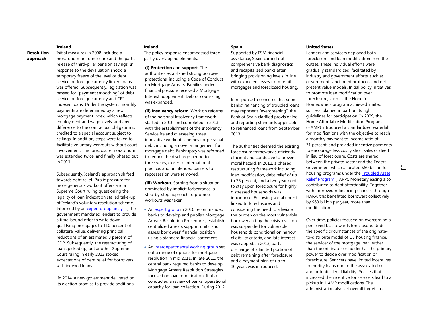#### **Iceland Ireland Spain United States**

**Resolution approach** Initial measures in 2008 included a moratorium on foreclosure and the partial release of third-pillar pension savings. In response to the devaluation shock, a temporary freeze of the level of debt service on foreign currency linked loans was offered. Subsequently, legislation was passed for "payment smoothing" of debt service on foreign currency and CPI indexed loans. Under the system, monthly payments are determined by a new mortgage payment index, which reflects employment and wage levels, and any difference to the contractual obligation is credited to a special account subject to ceilings. In addition, steps were taken to facilitate voluntary workouts without court involvement. The foreclosure moratorium was extended twice, and finally phased out in 2011.

> Subsequently, Iceland's approach shifted towards debt relief. Public pressure for more generous workout offers and a Supreme Court ruling questioning the legality of loan indexation stalled take-up of Iceland's voluntary resolution scheme. Informed by an [expert group analysis,](http://eng.forsaetisraduneyti.is/media/English/Report-household-mortgage-dept.pdf) the government mandated lenders to provide a time-bound offer to write down qualifying mortgages to 110 percent of collateral value, delivering principal reductions of an estimated 3 percent of GDP. Subsequently, the restructuring of loans picked up, but another Supreme Court ruling in early 2012 stoked expectations of debt relief for borrowers with indexed loans.

In 2014, a new government delivered on its election promise to provide additional The policy response encompassed three partly overlapping elements:

**(i) Protection and support**. The

authorities established strong borrower protections, including a Code of Conduct on Mortgage Arrears. Families under financial pressure received a Mortgage Interest Supplement. Debtor counseling was expanded.

**(ii) Insolvency reform**. Work on reforms of the personal insolvency framework started in 2010 and completed in 2013 with the establishment of the Insolvency Service Ireland overseeing three innovative workout schemes for personal debt, including a novel arrangement for mortgage debt. Bankruptcy was reformed to reduce the discharge period to three years, closer to international practice, and unintended barriers to repossession were removed.

**(iii) Workout**. Starting from a situation dominated by implicit forbearance, a step-by-step approach to promote workouts was taken:

- A[n expert group](http://www.finance.gov.ie/what-we-do/banking-financial-services/publications/reports-research/mortgage-arrears-and-personal) in 2010 recommended banks to develop and publish Mortgage Arrears Resolution Procedures, establish centralized arrears support units, and assess borrowers' financial position using a standard financial statement.
- A[n interdepartmental working group](http://www.finance.gov.ie/sites/default/files/mortgagearr2_0.pdf) set out a range of options for mortgage resolution in mid 2011. In late 2011, the central bank required banks to develop Mortgage Arrears Resolution Strategies focused on loan modification. It also conducted a review of banks' operational capacity for loan collection. During 2012,

Supported by ESM financial assistance, Spain carried out comprehensive bank diagnostics and recapitalized banks after bringing provisioning levels in line with expected losses from retail mortgages and foreclosed housing.

In response to concerns that some banks' refinancing of troubled loans may represent "evergreening", the Bank of Spain clarified provisioning and reporting standards applicable to refinanced loans from September 2013.

The authorities deemed the existing foreclosure framework sufficiently efficient and conducive to prevent moral hazard. In 2012, a phased restructuring framework including loan modification, debt relief of up to 25 percent, and a two year right to stay upon foreclosure for highly distressed households was introduced. Following social unrest linked to foreclosures and considering the need to alleviate the burden on the most vulnerable borrowers hit by the crisis, eviction was suspended for vulnerable households conditional on narrow eligibility criteria, and late interest was capped. In 2013, partial discharge of a limited portion of debt remaining after foreclosure and a payment plan of up to 10 years was introduced.

Lenders and servicers deployed both foreclosure and loan modification from the outset. These individual efforts were gradually standardized, facilitated by industry and government efforts, such as government sanctioned protocols and net present value models. Initial policy initiatives to promote loan modification over foreclosure, such as the Hope for Homeowners program achieved limited success, blamed in part on its tight guidelines for participation. In 2009, the Home Affordable Modification Program (HAMP) introduced a standardized waterfall for modifications with the objective to reach a monthly payment to income ratio of 31 percent, and provided incentive payments to encourage less costly short sales or deed in lieu of foreclosure. Costs are shared between the private sector and the Federal Government which allocated \$50 billion for housing programs under the [Troubled Asset](http://www.treasury.gov/initiatives/financial-stability/TARP-Programs/Pages/default.aspx)  Relief [Program](http://www.treasury.gov/initiatives/financial-stability/TARP-Programs/Pages/default.aspx) (TARP). Monetary easing also contributed to debt affordability. Together with improved refinancing chances through HARP, this benefitted borrowers collectively by \$60 billion per year, more than

Over time, policies focused on overcoming a perceived bias towards foreclosure. Under the specific circumstances of the originateto-distribute model of US housing finance, the servicer of the mortgage loan, rather than the originator or holder has the primary power to decide over modification or foreclosure. Servicers have limited incentives to modify loans due to the associated cost and potential legal liability. Policies that increased the incentive for servicers lead to a pickup in HAMP modifications. The administration also set overall targets to

modification.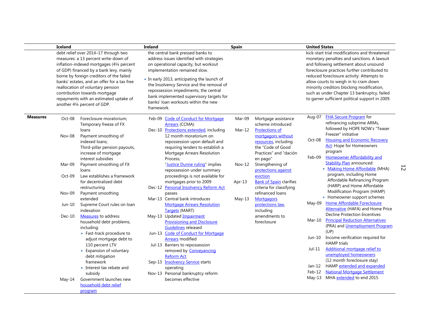|                 | Iceland<br>debt relief over 2014-17 through two<br>measures: a 13 percent write-down of<br>inflation-indexed mortgages (41/4 percent<br>of GDP) financed by a bank levy, mainly<br>borne by foreign creditors of the failed<br>banks' estates, and an offer for a tax free<br>reallocation of voluntary pension<br>contribution towards mortgage<br>repayments with an estimated uptake of<br>another 41/4 percent of GDP. |                                                                                                                                                                                         | Ireland<br>the central bank pressed banks to<br>address issues identified with strategies<br>on operational capacity, but workout<br>implementation remained slow.<br>• In early 2013, anticipating the launch of<br>the Insolvency Service and the removal of<br>repossession impediments, the central<br>bank implemented supervisory targets for<br>banks' loan workouts within the new<br>framework. |                                                                                                                                                                                                                                                           | <b>Spain</b>       |                                                                                         | <b>United States</b><br>kick-start trial modifications and threatened<br>monetary penalties and sanctions. A lawsuit<br>and following settlement about unsound<br>foreclosure practices further contributed to<br>reduced foreclosure activity. Attempts to<br>allow courts to weigh in to cram down<br>minority creditors blocking modification,<br>such as under Chapter 13 bankruptcy, failed<br>to garner sufficient political support in 2009. |                                                                                                                                                                                                                                               |
|-----------------|----------------------------------------------------------------------------------------------------------------------------------------------------------------------------------------------------------------------------------------------------------------------------------------------------------------------------------------------------------------------------------------------------------------------------|-----------------------------------------------------------------------------------------------------------------------------------------------------------------------------------------|----------------------------------------------------------------------------------------------------------------------------------------------------------------------------------------------------------------------------------------------------------------------------------------------------------------------------------------------------------------------------------------------------------|-----------------------------------------------------------------------------------------------------------------------------------------------------------------------------------------------------------------------------------------------------------|--------------------|-----------------------------------------------------------------------------------------|-----------------------------------------------------------------------------------------------------------------------------------------------------------------------------------------------------------------------------------------------------------------------------------------------------------------------------------------------------------------------------------------------------------------------------------------------------|-----------------------------------------------------------------------------------------------------------------------------------------------------------------------------------------------------------------------------------------------|
|                 |                                                                                                                                                                                                                                                                                                                                                                                                                            |                                                                                                                                                                                         |                                                                                                                                                                                                                                                                                                                                                                                                          |                                                                                                                                                                                                                                                           |                    |                                                                                         |                                                                                                                                                                                                                                                                                                                                                                                                                                                     |                                                                                                                                                                                                                                               |
| <b>Measures</b> | Oct-08<br>Nov-08                                                                                                                                                                                                                                                                                                                                                                                                           | Foreclosure moratorium;<br>Temporary freeze of FX<br>loans<br>Payment smoothing of                                                                                                      | Feb-09                                                                                                                                                                                                                                                                                                                                                                                                   | <b>Code of Conduct for Mortgage</b><br><b>Arrears</b> (CCMA)<br>Dec-10 Protections extended, including<br>12 month moratorium on                                                                                                                          | Mar-09<br>$Mar-12$ | Mortgage assistance<br>scheme introduced<br><b>Protections of</b><br>mortgagors without | Aug-07                                                                                                                                                                                                                                                                                                                                                                                                                                              | <b>FHA Secure Program</b> for<br>refinancing subprime ARMs,<br>followed by HOPE NOW's "Teaser<br>Freezer" initiative                                                                                                                          |
|                 |                                                                                                                                                                                                                                                                                                                                                                                                                            | indexed loans;<br>Third-pillar pension payouts,<br>increase of mortgage<br>interest subsidies                                                                                           |                                                                                                                                                                                                                                                                                                                                                                                                          | repossession upon default and<br>requiring lenders to establish a<br>Mortgage Arrears Resolution<br>Process;                                                                                                                                              |                    | resources, including<br>the "Code of Good<br>Practices" and "dación<br>en pago"         | <b>Housing and Economic Recovery</b><br>Oct-08<br>program<br>Feb-09                                                                                                                                                                                                                                                                                                                                                                                 | <b>Act:</b> Hope for Homeowners<br><b>Homeowner Affordability and</b>                                                                                                                                                                         |
|                 | Mar-09                                                                                                                                                                                                                                                                                                                                                                                                                     | Payment smoothing of FX<br>loans                                                                                                                                                        |                                                                                                                                                                                                                                                                                                                                                                                                          | "Justice Dunne ruling" implies<br>repossession under summary                                                                                                                                                                                              | $Nov-12$           | Strengthening of<br>protections against                                                 |                                                                                                                                                                                                                                                                                                                                                                                                                                                     | <b>Stability Plan announced:</b><br>• Making Home Affordable (MHA)                                                                                                                                                                            |
|                 | Oct-09                                                                                                                                                                                                                                                                                                                                                                                                                     | Law establishes a framework<br>for decentralized debt<br>restructuring                                                                                                                  |                                                                                                                                                                                                                                                                                                                                                                                                          | proceedings is not available for<br>mortgages prior to 2009<br>Dec-12 Personal Insolvency Reform Act                                                                                                                                                      | Apr- $13$          | eviction<br><b>Bank of Spain clarifies</b><br>criteria for classifying                  | program, including Home<br>Affordable Refinancing Program<br>(HARP) and Home Affordable<br>Modification Program (HAMP)<br>• Homeowner support schemes<br><b>Home Affordable Foreclosure</b><br>May-09                                                                                                                                                                                                                                               |                                                                                                                                                                                                                                               |
|                 | Nov-09                                                                                                                                                                                                                                                                                                                                                                                                                     | Payment smoothing<br>extended                                                                                                                                                           |                                                                                                                                                                                                                                                                                                                                                                                                          | passes<br>Mar-13 Central bank introduces                                                                                                                                                                                                                  | $May-13$           | refinanced loans<br><b>Mortgagors</b>                                                   |                                                                                                                                                                                                                                                                                                                                                                                                                                                     |                                                                                                                                                                                                                                               |
|                 | Jun-10                                                                                                                                                                                                                                                                                                                                                                                                                     | Supreme Court rules on loan<br>indexation                                                                                                                                               |                                                                                                                                                                                                                                                                                                                                                                                                          | <b>Mortgage Arrears Resolution</b><br>Targets (MART)                                                                                                                                                                                                      |                    | protections law,<br>including                                                           |                                                                                                                                                                                                                                                                                                                                                                                                                                                     | Alternative (HAFA) and Home Price                                                                                                                                                                                                             |
|                 | $Dec-10$                                                                                                                                                                                                                                                                                                                                                                                                                   | Measures to address<br>household debt problems,<br>including:<br>• Fast-track procedure to<br>adjust mortgage debt to<br>110 percent LTV<br>• Expansion of voluntary<br>debt mitigation |                                                                                                                                                                                                                                                                                                                                                                                                          | May-13 Updated Impairment<br><b>Provisioning and Disclosure</b><br><b>Guidelines</b> released<br>Jun-13 Code of Conduct for Mortgage<br><b>Arrears</b> modified<br>Jul-13 Barriers to repossession<br>removed by <b>Conveyancing</b><br><b>Reform Act</b> |                    | amendments to<br>foreclosure                                                            | $Mar-10$<br>Jun-10<br>$Jul-11$                                                                                                                                                                                                                                                                                                                                                                                                                      | <b>Decline Protection Incentives</b><br><b>Principal Reduction Alternatives</b><br>(PRA) and Unemployment Program<br>(UP)<br>Income verification required for<br><b>HAMP</b> trials<br>Additional mortgage relief to<br>unemployed homeowners |
|                 | May-14                                                                                                                                                                                                                                                                                                                                                                                                                     | framework<br>• Interest tax rebate and<br>subsidy<br>Government launches new<br>household debt relief<br>program                                                                        |                                                                                                                                                                                                                                                                                                                                                                                                          | Sep-13 <b>Insolvency Service</b> starts<br>operating<br>Nov-13 Personal bankruptcy reform<br>becomes effective                                                                                                                                            |                    |                                                                                         | Jan-12<br>Feb-12<br>May-13                                                                                                                                                                                                                                                                                                                                                                                                                          | (12 month foreclosure stay)<br>HAMP extended and expanded<br><b>National Mortgage Settlement</b><br>MHA extended to end 2015                                                                                                                  |

12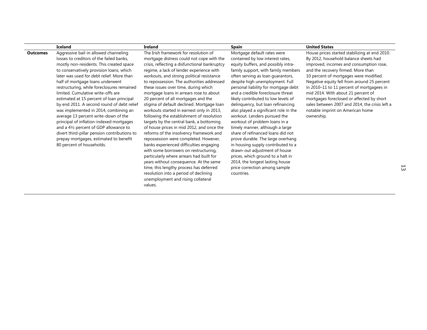|                 | <b>Iceland</b>                                                                                                                                                                                                                                                                                                                                                                                                                                                                                                                                                                                                                                                                                                                          | <b>Ireland</b>                                                                                                                                                                                                                                                                                                                                                                                                                                                                                                                                                                                                                                                                                                                                                                                                                                                                                                                                                                                                                          | <b>Spain</b>                                                                                                                                                                                                                                                                                                                                                                                                                                                                                                                                                                                                                                                                                                                                                                                        | <b>United States</b>                                                                                                                                                                                                                                                                                                                                                                                                                                                                                 |
|-----------------|-----------------------------------------------------------------------------------------------------------------------------------------------------------------------------------------------------------------------------------------------------------------------------------------------------------------------------------------------------------------------------------------------------------------------------------------------------------------------------------------------------------------------------------------------------------------------------------------------------------------------------------------------------------------------------------------------------------------------------------------|-----------------------------------------------------------------------------------------------------------------------------------------------------------------------------------------------------------------------------------------------------------------------------------------------------------------------------------------------------------------------------------------------------------------------------------------------------------------------------------------------------------------------------------------------------------------------------------------------------------------------------------------------------------------------------------------------------------------------------------------------------------------------------------------------------------------------------------------------------------------------------------------------------------------------------------------------------------------------------------------------------------------------------------------|-----------------------------------------------------------------------------------------------------------------------------------------------------------------------------------------------------------------------------------------------------------------------------------------------------------------------------------------------------------------------------------------------------------------------------------------------------------------------------------------------------------------------------------------------------------------------------------------------------------------------------------------------------------------------------------------------------------------------------------------------------------------------------------------------------|------------------------------------------------------------------------------------------------------------------------------------------------------------------------------------------------------------------------------------------------------------------------------------------------------------------------------------------------------------------------------------------------------------------------------------------------------------------------------------------------------|
| <b>Outcomes</b> | Aggressive bail-in allowed channeling<br>losses to creditors of the failed banks,<br>mostly non-residents. This created space<br>to conservatively provision loans, which<br>later was used for debt relief. More than<br>half of mortgage loans underwent<br>restructuring, while foreclosures remained<br>limited. Cumulative write-offs are<br>estimated at 15 percent of loan principal<br>by end 2011. A second round of debt relief<br>was implemented in 2014, combining an<br>average 13 percent write-down of the<br>principal of inflation-indexed mortgages<br>and a 41/2 percent of GDP allowance to<br>divert third-pillar pension contributions to<br>prepay mortgages, estimated to benefit<br>80 percent of households. | The Irish framework for resolution of<br>mortgage distress could not cope with the<br>crisis, reflecting a disfunctional bankruptcy<br>regime, a lack of lender experience with<br>workouts, and strong political resistance<br>to repossession. The authorities addressed<br>these issues over time, during which<br>mortgage loans in arrears rose to about<br>20 percent of all mortgages and the<br>stigma of default declined. Mortgage loan<br>workouts started in earnest only in 2013,<br>following the establishment of resolution<br>targets by the central bank, a bottoming<br>of house prices in mid 2012, and once the<br>reforms of the insolvency framework and<br>repossession were completed. However,<br>banks experienced difficulties engaging<br>with some borrowers on restructuring,<br>particularly where arrears had built for<br>years without consequence. At the same<br>time, this lengthy process has deferred<br>resolution into a period of declining<br>unemployment and rising collateral<br>values. | Mortgage default rates were<br>contained by low interest rates,<br>equity buffers, and possibly intra-<br>family support, with family members<br>often serving as loan quarantors,<br>despite high unemployment. Full<br>personal liability for mortgage debt<br>and a credible foreclosure threat<br>likely contributed to low levels of<br>delinquency, but loan refinancing<br>also played a significant role in the<br>workout. Lenders pursued the<br>workout of problem loans in a<br>timely manner, although a large<br>share of refinanced loans did not<br>prove durable. The large overhang<br>in housing supply contributed to a<br>drawn-out adjustment of house<br>prices, which ground to a halt in<br>2014, the longest lasting house<br>price correction among sample<br>countries. | House prices started stabilizing at end 2010.<br>By 2012, household balance sheets had<br>improved, incomes and consumption rose,<br>and the recovery firmed. More than<br>10 percent of mortgages were modified.<br>Negative equity fell from around 25 percent<br>in 2010–11 to 11 percent of mortgagees in<br>mid 2014. With about 21 percent of<br>mortgages foreclosed or affected by short<br>sales between 2007 and 2014, the crisis left a<br>notable imprint on American home<br>ownership. |

13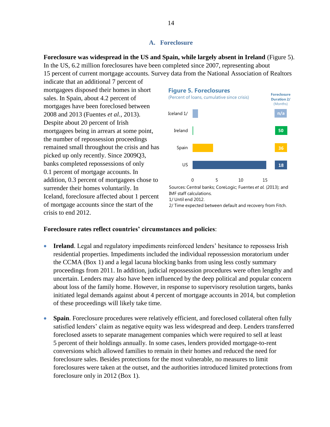# **A. Foreclosure**

**Foreclosure was widespread in the US and Spain, while largely absent in Ireland** (Figure 5). In the US, 6.2 million foreclosures have been completed since 2007, representing about 15 percent of current mortgage accounts. Survey data from the National Association of Realtors

indicate that an additional 7 percent of mortgagees disposed their homes in short sales. In Spain, about 4.2 percent of mortgages have been foreclosed between 2008 and 2013 (Fuentes *et al.*, 2013). Despite about 20 percent of Irish mortgagees being in arrears at some point, the number of repossession proceedings remained small throughout the crisis and has picked up only recently. Since 2009Q3, banks completed repossessions of only 0.1 percent of mortgage accounts. In addition, 0.3 percent of mortgagees chose to surrender their homes voluntarily. In Iceland, foreclosure affected about 1 percent of mortgage accounts since the start of the crisis to end 2012.



# **Foreclosure rates reflect countries' circumstances and policies**:

- **Ireland**. Legal and regulatory impediments reinforced lenders' hesitance to repossess Irish residential properties. Impediments included the individual repossession moratorium under the CCMA (Box 1) and a legal lacuna blocking banks from using less costly summary proceedings from 2011. In addition, judicial repossession procedures were often lengthy and uncertain. Lenders may also have been influenced by the deep political and popular concern about loss of the family home. However, in response to supervisory resolution targets, banks initiated legal demands against about 4 percent of mortgage accounts in 2014, but completion of these proceedings will likely take time.
- **Spain**. Foreclosure procedures were relatively efficient, and foreclosed collateral often fully satisfied lenders' claim as negative equity was less widespread and deep. Lenders transferred foreclosed assets to separate management companies which were required to sell at least 5 percent of their holdings annually. In some cases, lenders provided mortgage-to-rent conversions which allowed families to remain in their homes and reduced the need for foreclosure sales. Besides protections for the most vulnerable, no measures to limit foreclosures were taken at the outset, and the authorities introduced limited protections from foreclosure only in 2012 (Box 1).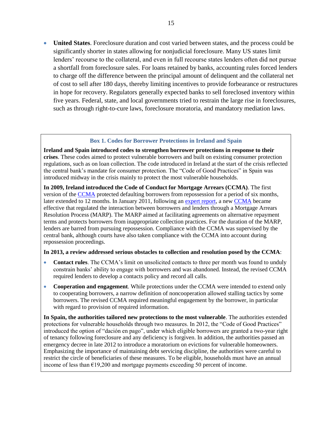**United States**. Foreclosure duration and cost varied between states, and the process could be significantly shorter in states allowing for nonjudicial foreclosure. Many US states limit lenders' recourse to the collateral, and even in full recourse states lenders often did not pursue a shortfall from foreclosure sales. For loans retained by banks, accounting rules forced lenders to charge off the difference between the principal amount of delinquent and the collateral net of cost to sell after 180 days, thereby limiting incentives to provide forbearance or restructures in hope for recovery. Regulators generally expected banks to sell foreclosed inventory within five years. Federal, state, and local governments tried to restrain the large rise in foreclosures, such as through right-to-cure laws, foreclosure moratoria, and mandatory mediation laws.

#### **Box 1. Codes for Borrower Protections in Ireland and Spain**

**Ireland and Spain introduced codes to strengthen borrower protections in response to their crises**. These codes aimed to protect vulnerable borrowers and built on existing consumer protection regulations, such as on loan collection. The code introduced in Ireland at the start of the crisis reflected the central bank's mandate for consumer protection. The "Code of Good Practices" in Spain was introduced midway in the crisis mainly to protect the most vulnerable households.

**In 2009, Ireland introduced the Code of Conduct for Mortgage Arrears (CCMA)**. The first version of the [CCMA](http://www.centralbank.ie/regulation/processes/consumer-protection-code/Documents/Code%20of%20Conduct%20on%20Mortgage%20Arrears.pdf) protected defaulting borrowers from repossession for a period of six months, later extended to 12 months. In January 2011, following an [expert report,](http://www.finance.gov.ie/what-we-do/banking-financial-services/publications/reports-research/mortgage-arrears-and-personal) a new [CCMA](http://www.centralbank.ie/regulation/processes/consumer-protection-code/documents/code%20of%20conduct%20on%20mortgage%20arrears%20%201%20january%202011.pdf) became effective that regulated the interaction between borrowers and lenders through a Mortgage Arrears Resolution Process (MARP). The MARP aimed at facilitating agreements on alternative repayment terms and protects borrowers from inappropriate collection practices. For the duration of the MARP, lenders are barred from pursuing repossession. Compliance with the CCMA was supervised by the central bank, although courts have also taken compliance with the CCMA into account during repossession proceedings.

#### **In 2013, a review addressed serious obstacles to collection and resolution posed by the CCMA**:

- **Contact rules**. The CCMA's limit on unsolicited contacts to three per month was found to unduly constrain banks' ability to engage with borrowers and was abandoned. Instead, the revised CCMA required lenders to develop a contacts policy and record all calls.
- **Cooperation and engagement**. While protections under the CCMA were intended to extend only to cooperating borrowers, a narrow definition of noncooperation allowed stalling tactics by some borrowers. The revised CCMA required meaningful engagement by the borrower, in particular with regard to provision of required information.

**In Spain, the authorities tailored new protections to the most vulnerable**. The authorities extended protections for vulnerable households through two measures. In 2012, the "Code of Good Practices" introduced the option of "dación en pago", under which eligible borrowers are granted a two-year right of tenancy following foreclosure and any deficiency is forgiven. In addition, the authorities passed an emergency decree in late 2012 to introduce a moratorium on evictions for vulnerable homeowners. Emphasizing the importance of maintaining debt servicing discipline, the authorities were careful to restrict the circle of beneficiaries of these measures. To be eligible, households must have an annual income of less than  $E19,200$  and mortgage payments exceeding 50 percent of income.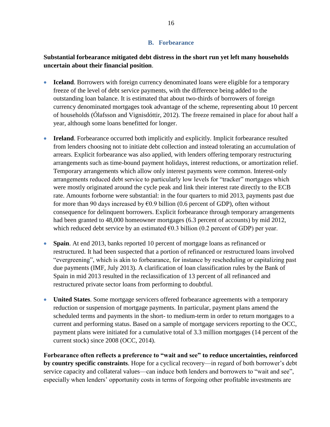# **B. Forbearance**

# **Substantial forbearance mitigated debt distress in the short run yet left many households uncertain about their financial position**.

- **Iceland**. Borrowers with foreign currency denominated loans were eligible for a temporary freeze of the level of debt service payments, with the difference being added to the outstanding loan balance. It is estimated that about two-thirds of borrowers of foreign currency denominated mortgages took advantage of the scheme, representing about 10 percent of households (Ólafsson and Vignisdóttir, 2012). The freeze remained in place for about half a year, although some loans benefitted for longer.
- **Ireland**. Forbearance occurred both implicitly and explicitly. Implicit forbearance resulted from lenders choosing not to initiate debt collection and instead tolerating an accumulation of arrears. Explicit forbearance was also applied, with lenders offering temporary restructuring arrangements such as time-bound payment holidays, interest reductions, or amortization relief. Temporary arrangements which allow only interest payments were common. Interest-only arrangements reduced debt service to particularly low levels for "tracker" mortgages which were mostly originated around the cycle peak and link their interest rate directly to the ECB rate. Amounts forborne were substantial: in the four quarters to mid 2013, payments past due for more than 90 days increased by  $E(0.9)$  billion (0.6 percent of GDP), often without consequence for delinquent borrowers. Explicit forbearance through temporary arrangements had been granted to 48,000 homeowner mortgages (6.3 percent of accounts) by mid 2012, which reduced debt service by an estimated  $\epsilon$ 0.3 billion (0.2 percent of GDP) per year.
- **Spain**. At end 2013, banks reported 10 percent of mortgage loans as refinanced or restructured. It had been suspected that a portion of refinanced or restructured loans involved "evergreening", which is akin to forbearance, for instance by rescheduling or capitalizing past due payments (IMF, July 2013). A clarification of loan classification rules by the Bank of Spain in mid 2013 resulted in the reclassification of 13 percent of all refinanced and restructured private sector loans from performing to doubtful.
- **United States**. Some mortgage servicers offered forbearance agreements with a temporary reduction or suspension of mortgage payments. In particular, payment plans amend the scheduled terms and payments in the short- to medium-term in order to return mortgages to a current and performing status. Based on a sample of mortgage servicers reporting to the OCC, payment plans were initiated for a cumulative total of 3.3 million mortgages (14 percent of the current stock) since 2008 (OCC, 2014).

**Forbearance often reflects a preference to "wait and see" to reduce uncertainties, reinforced by country specific constraints**. Hope for a cyclical recovery—in regard of both borrower's debt service capacity and collateral values—can induce both lenders and borrowers to "wait and see", especially when lenders' opportunity costs in terms of forgoing other profitable investments are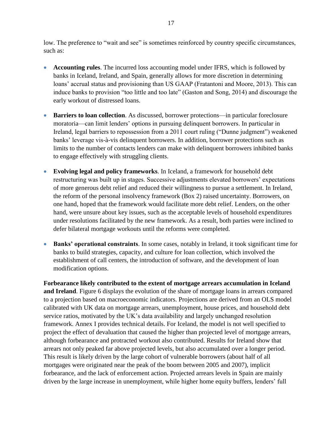low. The preference to "wait and see" is sometimes reinforced by country specific circumstances, such as:

- **Accounting rules**. The incurred loss accounting model under IFRS, which is followed by banks in Iceland, Ireland, and Spain, generally allows for more discretion in determining loans' accrual status and provisioning than US GAAP (Fratantoni and Moore, 2013). This can induce banks to provision "too little and too late" (Gaston and Song, 2014) and discourage the early workout of distressed loans.
- **Barriers to loan collection**. As discussed, borrower protections—in particular foreclosure moratoria—can limit lenders' options in pursuing delinquent borrowers. In particular in Ireland, legal barriers to repossession from a 2011 court ruling ("Dunne judgment") weakened banks' leverage vis-à-vis delinquent borrowers. In addition, borrower protections such as limits to the number of contacts lenders can make with delinquent borrowers inhibited banks to engage effectively with struggling clients.
- **Evolving legal and policy frameworks**. In Iceland, a framework for household debt restructuring was built up in stages. Successive adjustments elevated borrowers' expectations of more generous debt relief and reduced their willingness to pursue a settlement. In Ireland, the reform of the personal insolvency framework (Box 2) raised uncertainty. Borrowers, on one hand, hoped that the framework would facilitate more debt relief. Lenders, on the other hand, were unsure about key issues, such as the acceptable levels of household expenditures under resolutions facilitated by the new framework. As a result, both parties were inclined to defer bilateral mortgage workouts until the reforms were completed.
- **Banks' operational constraints**. In some cases, notably in Ireland, it took significant time for banks to build strategies, capacity, and culture for loan collection, which involved the establishment of call centers, the introduction of software, and the development of loan modification options.

**Forbearance likely contributed to the extent of mortgage arrears accumulation in Iceland and Ireland**. Figure 6 displays the evolution of the share of mortgage loans in arrears compared to a projection based on macroeconomic indicators. Projections are derived from an OLS model calibrated with UK data on mortgage arrears, unemployment, house prices, and household debt service ratios, motivated by the UK's data availability and largely unchanged resolution framework. Annex I provides technical details. For Iceland, the model is not well specified to project the effect of devaluation that caused the higher than projected level of mortgage arrears, although forbearance and protracted workout also contributed. Results for Ireland show that arrears not only peaked far above projected levels, but also accumulated over a longer period. This result is likely driven by the large cohort of vulnerable borrowers (about half of all mortgages were originated near the peak of the boom between 2005 and 2007), implicit forbearance, and the lack of enforcement action. Projected arrears levels in Spain are mainly driven by the large increase in unemployment, while higher home equity buffers, lenders' full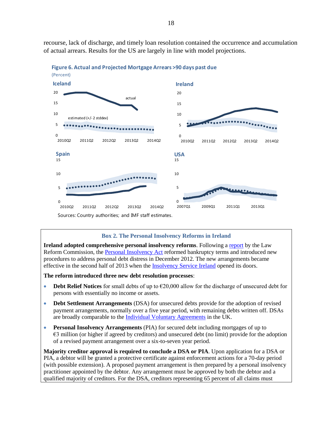

recourse, lack of discharge, and timely loan resolution contained the occurrence and accumulation of actual arrears. Results for the US are largely in line with model projections.

**Box 2. The Personal Insolvency Reforms in Ireland**

**Ireland adopted comprehensive personal insolvency reforms**. Following a [report](http://www.lawreform.ie/2010/report-on-personal-debt-management-and-debt-enforcement.325.html) by the Law Reform Commission, the [Personal Insolvency Act](http://www.oireachtas.ie/viewdoc.asp?fn=/documents/bills28/acts/2012/a4412.pdf) reformed bankruptcy terms and introduced new procedures to address personal debt distress in December 2012. The new arrangements became effective in the second half of 2013 when the [Insolvency Service Ireland](http://www.isi.gov.ie/) opened its doors.

**The reform introduced three new debt resolution processes**:

- **Debt Relief Notices** for small debts of up to €20,000 allow for the discharge of unsecured debt for persons with essentially no income or assets.
- **Debt Settlement Arrangements** (DSA) for unsecured debts provide for the adoption of revised payment arrangements, normally over a five year period, with remaining debts written off. DSAs are broadly comparable to the [Individual Voluntary Agreements](https://www.gov.uk/options-for-paying-off-your-debts/individual-voluntary-arrangements) in the UK.
- **Personal Insolvency Arrangements** (PIA) for secured debt including mortgages of up to €3 million (or higher if agreed by creditors) and unsecured debt (no limit) provide for the adoption of a revised payment arrangement over a six-to-seven year period.

**Majority creditor approval is required to conclude a DSA or PIA**. Upon application for a DSA or PIA, a debtor will be granted a protective certificate against enforcement actions for a 70-day period (with possible extension). A proposed payment arrangement is then prepared by a personal insolvency practitioner appointed by the debtor. Any arrangement must be approved by both the debtor and a qualified majority of creditors. For the DSA, creditors representing 65 percent of all claims must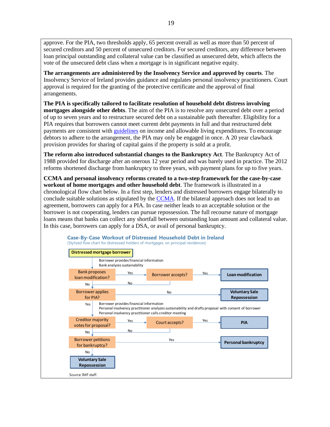approve. For the PIA, two thresholds apply, 65 percent overall as well as more than 50 percent of secured creditors and 50 percent of unsecured creditors. For secured creditors, any difference between loan principal outstanding and collateral value can be classified as unsecured debt, which affects the vote of the unsecured debt class when a mortgage is in significant negative equity.

**The arrangements are administered by the Insolvency Service and approved by courts**. The Insolvency Service of Ireland provides guidance and regulates personal insolvency practitioners. Court approval is required for the granting of the protective certificate and the approval of final arrangements.

**The PIA is specifically tailored to facilitate resolution of household debt distress involving mortgages alongside other debts**. The aim of the PIA is to resolve any unsecured debt over a period of up to seven years and to restructure secured debt on a sustainable path thereafter. Eligibility for a PIA requires that borrowers cannot meet current debt payments in full and that restructured debt payments are consistent with [guidelines](http://www.isi.gov.ie/en/ISI/Pages/Reasonable_living_expenses) on income and allowable living expenditures. To encourage debtors to adhere to the arrangement, the PIA may only be engaged in once. A 20 year clawback provision provides for sharing of capital gains if the property is sold at a profit.

**The reform also introduced substantial changes to the Bankruptcy Act**. The Bankruptcy Act of 1988 provided for discharge after an onerous 12 year period and was barely used in practice. The 2012 reforms shortened discharge from bankruptcy to three years, with payment plans for up to five years.

**CCMA and personal insolvency reforms created to a two-step framework for the case-by-case workout of home mortgages and other household debt**. The framework is illustrated in a chronological flow chart below. In a first step, lenders and distressed borrowers engage bilaterally to conclude suitable solutions as stipulated by the [CCMA.](http://www.centralbank.ie/regulation/processes/consumer-protection-code/Documents/2013%20CCMA.pdf) If the bilateral approach does not lead to an agreement, borrowers can apply for a PIA. In case neither leads to an acceptable solution or the borrower is not cooperating, lenders can pursue repossession. The full recourse nature of mortgage loans means that banks can collect any shortfall between outstanding loan amount and collateral value. In this case, borrowers can apply for a DSA, or avail of personal bankruptcy.

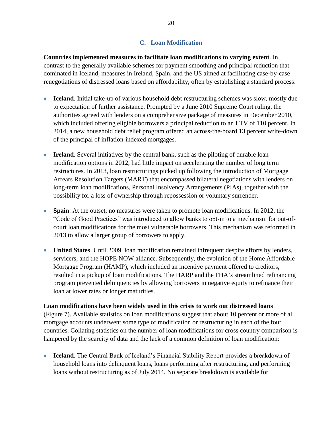# **C. Loan Modification**

**Countries implemented measures to facilitate loan modifications to varying extent**. In contrast to the generally available schemes for payment smoothing and principal reduction that dominated in Iceland, measures in Ireland, Spain, and the US aimed at facilitating case-by-case renegotiations of distressed loans based on affordability, often by establishing a standard process:

- **Iceland**. Initial take-up of various household debt restructuring schemes was slow, mostly due to expectation of further assistance. Prompted by a June 2010 Supreme Court ruling, the authorities agreed with lenders on a comprehensive package of measures in December 2010, which included offering eligible borrowers a principal reduction to an LTV of 110 percent. In 2014, a new household debt relief program offered an across-the-board 13 percent write-down of the principal of inflation-indexed mortgages.
- **Ireland**. Several initiatives by the central bank, such as the piloting of durable loan modification options in 2012, had little impact on accelerating the number of long term restructures. In 2013, loan restructurings picked up following the introduction of Mortgage Arrears Resolution Targets (MART) that encompassed bilateral negotiations with lenders on long-term loan modifications, Personal Insolvency Arrangements (PIAs), together with the possibility for a loss of ownership through repossession or voluntary surrender.
- **Spain**. At the outset, no measures were taken to promote loan modifications. In 2012, the "Code of Good Practices" was introduced to allow banks to opt-in to a mechanism for out-ofcourt loan modifications for the most vulnerable borrowers. This mechanism was reformed in 2013 to allow a larger group of borrowers to apply.
- **United States**. Until 2009, loan modification remained infrequent despite efforts by lenders, servicers, and the HOPE NOW alliance. Subsequently, the evolution of the Home Affordable Mortgage Program (HAMP), which included an incentive payment offered to creditors, resulted in a pickup of loan modifications. The HARP and the FHA's streamlined refinancing program prevented delinquencies by allowing borrowers in negative equity to refinance their loan at lower rates or longer maturities.

# **Loan modifications have been widely used in this crisis to work out distressed loans**

(Figure 7). Available statistics on loan modifications suggest that about 10 percent or more of all mortgage accounts underwent some type of modification or restructuring in each of the four countries. Collating statistics on the number of loan modifications for cross country comparison is hampered by the scarcity of data and the lack of a common definition of loan modification:

 **Iceland**. The Central Bank of Iceland's Financial Stability Report provides a breakdown of household loans into delinquent loans, loans performing after restructuring, and performing loans without restructuring as of July 2014. No separate breakdown is available for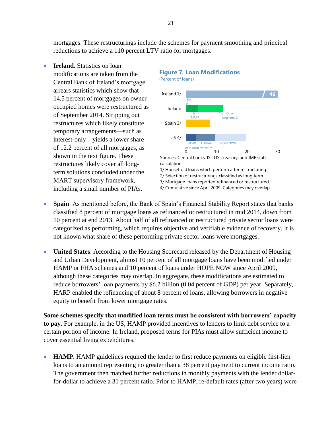mortgages. These restructurings include the schemes for payment smoothing and principal reductions to achieve a 110 percent LTV ratio for mortgages.

**Ireland**. Statistics on loan modifications are taken from the Central Bank of Ireland's mortgage arrears statistics which show that 14.5 percent of mortgages on owner occupied homes were restructured as of September 2014. Stripping out restructures which likely constitute temporary arrangements—such as interest-only—yields a lower share of 12.2 percent of all mortgages, as shown in the text figure. These restructures likely cover all longterm solutions concluded under the MART supervisory framework, including a small number of PIAs.

# **Figure 7. Loan Modifications**

0 10 20 30 Iceland 1/ Ireland Spain 3/ US 4/ Sources: Central banks; ISI; US Treasury; and IMF staff calculations. 1/ Household loans which perform after restructuring. 2/ Selection of restructurings classified as long term. 3/ Mortgage loans reported refinanced or restructured. 4/ Cumulative since April 2009. Categories may overlap. (Percent of loans) **HAMP** permanent mitigation FHA loss HOPE NOW PIA MART Other long term 2/ **46**

- **Spain**. As mentioned before, the Bank of Spain's Financial Stability Report states that banks classified 8 percent of mortgage loans as refinanced or restructured in mid 2014, down from 10 percent at end 2013. About half of all refinanced or restructured private sector loans were categorized as performing, which requires objective and verifiable evidence of recovery. It is not known what share of these performing private sector loans were mortgages.
- **United States**. According to the Housing Scorecard released by the Department of Housing and Urban Development, almost 10 percent of all mortgage loans have been modified under HAMP or FHA schemes and 10 percent of loans under HOPE NOW since April 2009, although these categories may overlap. In aggregate, these modifications are estimated to reduce borrowers' loan payments by \$6.2 billion (0.04 percent of GDP) per year. Separately, HARP enabled the refinancing of about 8 percent of loans, allowing borrowers in negative equity to benefit from lower mortgage rates.

**Some schemes specify that modified loan terms must be consistent with borrowers' capacity to pay**. For example, in the US, HAMP provided incentives to lenders to limit debt service to a certain portion of income. In Ireland, proposed terms for PIAs must allow sufficient income to cover essential living expenditures.

 **HAMP**. HAMP guidelines required the lender to first reduce payments on eligible first-lien loans to an amount representing no greater than a 38 percent payment to current income ratio. The government then matched further reductions in monthly payments with the lender dollarfor-dollar to achieve a 31 percent ratio. Prior to HAMP, re-default rates (after two years) were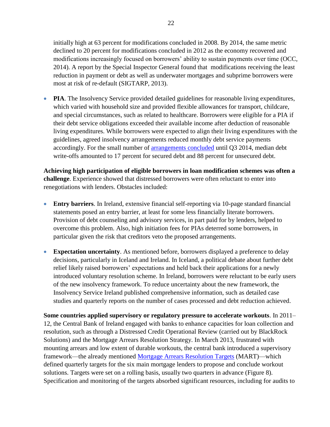initially high at 63 percent for modifications concluded in 2008. By 2014, the same metric declined to 20 percent for modifications concluded in 2012 as the economy recovered and modifications increasingly focused on borrowers' ability to sustain payments over time (OCC, 2014). A report by the Special Inspector General found that modifications receiving the least reduction in payment or debt as well as underwater mortgages and subprime borrowers were most at risk of re-default (SIGTARP, 2013).

• **PIA**. The Insolvency Service provided detailed guidelines for reasonable living expenditures, which varied with household size and provided flexible allowances for transport, childcare, and special circumstances, such as related to healthcare. Borrowers were eligible for a PIA if their debt service obligations exceeded their available income after deduction of reasonable living expenditures. While borrowers were expected to align their living expenditures with the guidelines, agreed insolvency arrangements reduced monthly debt service payments accordingly. For the small number of [arrangements concluded](http://www.isi.gov.ie/en/ISI/Pages/Statistics) until Q3 2014, median debt write-offs amounted to 17 percent for secured debt and 88 percent for unsecured debt.

**Achieving high participation of eligible borrowers in loan modification schemes was often a challenge**. Experience showed that distressed borrowers were often reluctant to enter into renegotiations with lenders. Obstacles included:

- **Entry barriers**. In Ireland, extensive financial self-reporting via 10-page standard financial statements posed an entry barrier, at least for some less financially literate borrowers. Provision of debt counseling and advisory services, in part paid for by lenders, helped to overcome this problem. Also, high initiation fees for PIAs deterred some borrowers, in particular given the risk that creditors veto the proposed arrangements.
- **Expectation uncertainty**. As mentioned before, borrowers displayed a preference to delay decisions, particularly in Iceland and Ireland. In Iceland, a political debate about further debt relief likely raised borrowers' expectations and held back their applications for a newly introduced voluntary resolution scheme. In Ireland, borrowers were reluctant to be early users of the new insolvency framework. To reduce uncertainty about the new framework, the Insolvency Service Ireland published comprehensive information, such as detailed case studies and quarterly reports on the number of cases processed and debt reduction achieved.

**Some countries applied supervisory or regulatory pressure to accelerate workouts**. In 2011– 12, the Central Bank of Ireland engaged with banks to enhance capacities for loan collection and resolution, such as through a Distressed Credit Operational Review (carried out by BlackRock Solutions) and the Mortgage Arrears Resolution Strategy. In March 2013, frustrated with mounting arrears and low extent of durable workouts, the central bank introduced a supervisory framework—the already mentioned [Mortgage Arrears Resolution Targets](http://www.centralbank.ie/press-area/press-releases/Documents/Approach%20to%20Mortage%20Arrears%20Resolution%20-.pdf) (MART)—which defined quarterly targets for the six main mortgage lenders to propose and conclude workout solutions. Targets were set on a rolling basis, usually two quarters in advance (Figure 8). Specification and monitoring of the targets absorbed significant resources, including for audits to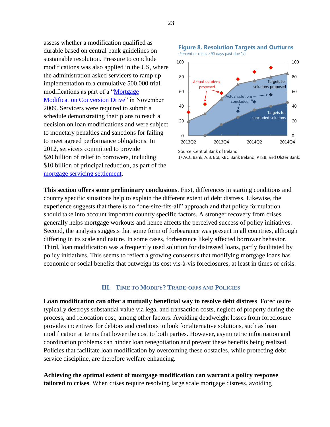assess whether a modification qualified as durable based on central bank guidelines on sustainable resolution. Pressure to conclude modifications was also applied in the US, where the administration asked servicers to ramp up implementation to a cumulative 500,000 trial modifications as part of a "Mortgage" [Modification Conversion Drive"](http://portal.hud.gov/hudportal/HUD?src=/press/press_releases_media_advisories/2009/HUDNo.09-219) in November 2009. Servicers were required to submit a schedule demonstrating their plans to reach a decision on loan modifications and were subject to monetary penalties and sanctions for failing to meet agreed performance obligations. In 2012, servicers committed to provide \$20 billion of relief to borrowers, including \$10 billion of principal reduction, as part of the [mortgage servicing settlement.](http://portal.hud.gov/hudportal/HUD?src=/mortgageservicingsettlement/fact-sheet)



**Figure 8. Resolution Targets and Outturns**

**This section offers some preliminary conclusions**. First, differences in starting conditions and country specific situations help to explain the different extent of debt distress. Likewise, the experience suggests that there is no "one-size-fits-all" approach and that policy formulation should take into account important country specific factors. A stronger recovery from crises generally helps mortgage workouts and hence affects the perceived success of policy initiatives. Second, the analysis suggests that some form of forbearance was present in all countries, although differing in its scale and nature. In some cases, forbearance likely affected borrower behavior. Third, loan modification was a frequently used solution for distressed loans, partly facilitated by policy initiatives. This seems to reflect a growing consensus that modifying mortgage loans has economic or social benefits that outweigh its cost vis-à-vis foreclosures, at least in times of crisis.

#### **III. TIME TO MODIFY? TRADE-OFFS AND POLICIES**

**Loan modification can offer a mutually beneficial way to resolve debt distress**. Foreclosure typically destroys substantial value via legal and transaction costs, neglect of property during the process, and relocation cost, among other factors. Avoiding deadweight losses from foreclosure provides incentives for debtors and creditors to look for alternative solutions, such as loan modification at terms that lower the cost to both parties. However, asymmetric information and coordination problems can hinder loan renegotiation and prevent these benefits being realized. Policies that facilitate loan modification by overcoming these obstacles, while protecting debt service discipline, are therefore welfare enhancing.

**Achieving the optimal extent of mortgage modification can warrant a policy response tailored to crises**. When crises require resolving large scale mortgage distress, avoiding

Source: Central Bank of Ireland. 1/ ACC Bank, AIB, BoI, KBC Bank Ireland, PTSB, and Ulster Bank.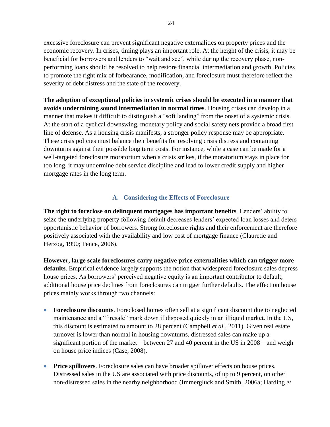excessive foreclosure can prevent significant negative externalities on property prices and the economic recovery. In crises, timing plays an important role. At the height of the crisis, it may be beneficial for borrowers and lenders to "wait and see", while during the recovery phase, nonperforming loans should be resolved to help restore financial intermediation and growth. Policies to promote the right mix of forbearance, modification, and foreclosure must therefore reflect the severity of debt distress and the state of the recovery.

**The adoption of exceptional policies in systemic crises should be executed in a manner that avoids undermining sound intermediation in normal times**. Housing crises can develop in a manner that makes it difficult to distinguish a "soft landing" from the onset of a systemic crisis. At the start of a cyclical downswing, monetary policy and social safety nets provide a broad first line of defense. As a housing crisis manifests, a stronger policy response may be appropriate. These crisis policies must balance their benefits for resolving crisis distress and containing downturns against their possible long term costs. For instance, while a case can be made for a well-targeted foreclosure moratorium when a crisis strikes, if the moratorium stays in place for too long, it may undermine debt service discipline and lead to lower credit supply and higher mortgage rates in the long term.

# **A. Considering the Effects of Foreclosure**

**The right to foreclose on delinquent mortgages has important benefits**. Lenders' ability to seize the underlying property following default decreases lenders' expected loan losses and deters opportunistic behavior of borrowers. Strong foreclosure rights and their enforcement are therefore positively associated with the availability and low cost of mortgage finance (Clauretie and Herzog, 1990; Pence, 2006).

**However, large scale foreclosures carry negative price externalities which can trigger more defaults**. Empirical evidence largely supports the notion that widespread foreclosure sales depress house prices. As borrowers' perceived negative equity is an important contributor to default, additional house price declines from foreclosures can trigger further defaults. The effect on house prices mainly works through two channels:

- **Foreclosure discounts**. Foreclosed homes often sell at a significant discount due to neglected maintenance and a "firesale" mark down if disposed quickly in an illiquid market. In the US, this discount is estimated to amount to 28 percent (Campbell *et al.*, 2011). Given real estate turnover is lower than normal in housing downturns, distressed sales can make up a significant portion of the market—between 27 and 40 percent in the US in 2008—and weigh on house price indices (Case, 2008).
- **Price spillovers**. Foreclosure sales can have broader spillover effects on house prices. Distressed sales in the US are associated with price discounts, of up to 9 percent, on other non-distressed sales in the nearby neighborhood (Immergluck and Smith, 2006a; Harding *et*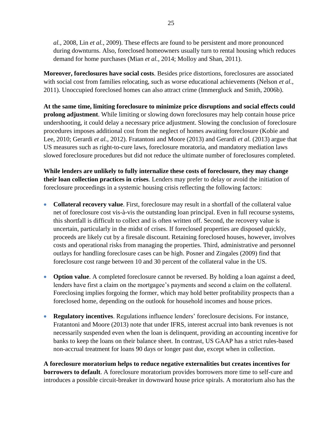*al.*, 2008, Lin *et al.*, 2009). These effects are found to be persistent and more pronounced during downturns. Also, foreclosed homeowners usually turn to rental housing which reduces demand for home purchases (Mian *et al.*, 2014; Molloy and Shan, 2011).

**Moreover, foreclosures have social costs**. Besides price distortions, foreclosures are associated with social cost from families relocating, such as worse educational achievements (Nelson *et al.*, 2011). Unoccupied foreclosed homes can also attract crime (Immergluck and Smith, 2006b).

**At the same time, limiting foreclosure to minimize price disruptions and social effects could prolong adjustment**. While limiting or slowing down foreclosures may help contain house price undershooting, it could delay a necessary price adjustment. Slowing the conclusion of foreclosure procedures imposes additional cost from the neglect of homes awaiting foreclosure (Kobie and Lee, 2010; Gerardi *et al.*, 2012). Fratantoni and Moore (2013) and Gerardi *et al.* (2013) argue that US measures such as right-to-cure laws, foreclosure moratoria, and mandatory mediation laws slowed foreclosure procedures but did not reduce the ultimate number of foreclosures completed.

**While lenders are unlikely to fully internalize these costs of foreclosure, they may change their loan collection practices in crises**. Lenders may prefer to delay or avoid the initiation of foreclosure proceedings in a systemic housing crisis reflecting the following factors:

- **Collateral recovery value**. First, foreclosure may result in a shortfall of the collateral value net of foreclosure cost vis-à-vis the outstanding loan principal. Even in full recourse systems, this shortfall is difficult to collect and is often written off. Second, the recovery value is uncertain, particularly in the midst of crises. If foreclosed properties are disposed quickly, proceeds are likely cut by a firesale discount. Retaining foreclosed houses, however, involves costs and operational risks from managing the properties. Third, administrative and personnel outlays for handling foreclosure cases can be high. Posner and Zingales (2009) find that foreclosure cost range between 10 and 30 percent of the collateral value in the US.
- **Option value**. A completed foreclosure cannot be reversed. By holding a loan against a deed, lenders have first a claim on the mortgagee's payments and second a claim on the collateral. Foreclosing implies forgoing the former, which may hold better profitability prospects than a foreclosed home, depending on the outlook for household incomes and house prices.
- **Regulatory incentives**. Regulations influence lenders' foreclosure decisions. For instance, Fratantoni and Moore (2013) note that under IFRS, interest accrual into bank revenues is not necessarily suspended even when the loan is delinquent, providing an accounting incentive for banks to keep the loans on their balance sheet. In contrast, US GAAP has a strict rules-based non-accrual treatment for loans 90 days or longer past due, except when in collection.

**A foreclosure moratorium helps to reduce negative externalities but creates incentives for borrowers to default**. A foreclosure moratorium provides borrowers more time to self-cure and introduces a possible circuit-breaker in downward house price spirals. A moratorium also has the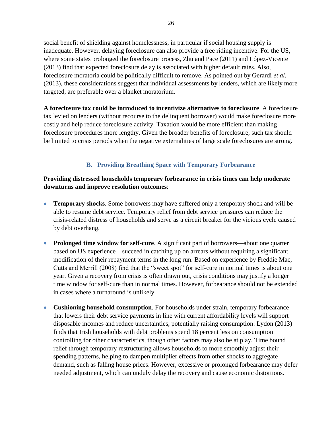social benefit of shielding against homelessness, in particular if social housing supply is inadequate. However, delaying foreclosure can also provide a free riding incentive. For the US, where some states prolonged the foreclosure process, Zhu and Pace (2011) and López-Vicente (2013) find that expected foreclosure delay is associated with higher default rates. Also, foreclosure moratoria could be politically difficult to remove. As pointed out by Gerardi *et al.* (2013), these considerations suggest that individual assessments by lenders, which are likely more targeted, are preferable over a blanket moratorium.

**A foreclosure tax could be introduced to incentivize alternatives to foreclosure**. A foreclosure tax levied on lenders (without recourse to the delinquent borrower) would make foreclosure more costly and help reduce foreclosure activity. Taxation would be more efficient than making foreclosure procedures more lengthy. Given the broader benefits of foreclosure, such tax should be limited to crisis periods when the negative externalities of large scale foreclosures are strong.

# **B. Providing Breathing Space with Temporary Forbearance**

# **Providing distressed households temporary forbearance in crisis times can help moderate downturns and improve resolution outcomes**:

- **Temporary shocks**. Some borrowers may have suffered only a temporary shock and will be able to resume debt service. Temporary relief from debt service pressures can reduce the crisis-related distress of households and serve as a circuit breaker for the vicious cycle caused by debt overhang.
- **Prolonged time window for self-cure**. A significant part of borrowers—about one quarter based on US experience—succeed in catching up on arrears without requiring a significant modification of their repayment terms in the long run. Based on experience by Freddie Mac, Cutts and Merrill (2008) find that the "sweet spot" for self-cure in normal times is about one year. Given a recovery from crisis is often drawn out, crisis conditions may justify a longer time window for self-cure than in normal times. However, forbearance should not be extended in cases where a turnaround is unlikely.
- **Cushioning household consumption**. For households under strain, temporary forbearance that lowers their debt service payments in line with current affordability levels will support disposable incomes and reduce uncertainties, potentially raising consumption. Lydon (2013) finds that Irish households with debt problems spend 18 percent less on consumption controlling for other characteristics, though other factors may also be at play. Time bound relief through temporary restructuring allows households to more smoothly adjust their spending patterns, helping to dampen multiplier effects from other shocks to aggregate demand, such as falling house prices. However, excessive or prolonged forbearance may defer needed adjustment, which can unduly delay the recovery and cause economic distortions.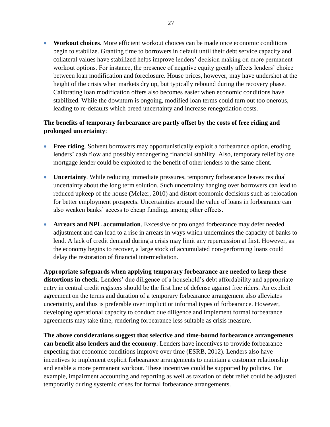**Workout choices**. More efficient workout choices can be made once economic conditions begin to stabilize. Granting time to borrowers in default until their debt service capacity and collateral values have stabilized helps improve lenders' decision making on more permanent workout options. For instance, the presence of negative equity greatly affects lenders' choice between loan modification and foreclosure. House prices, however, may have undershot at the height of the crisis when markets dry up, but typically rebound during the recovery phase. Calibrating loan modification offers also becomes easier when economic conditions have stabilized. While the downturn is ongoing, modified loan terms could turn out too onerous, leading to re-defaults which breed uncertainty and increase renegotiation costs.

# **The benefits of temporary forbearance are partly offset by the costs of free riding and prolonged uncertainty**:

- **Free riding.** Solvent borrowers may opportunistically exploit a forbearance option, eroding lenders' cash flow and possibly endangering financial stability. Also, temporary relief by one mortgage lender could be exploited to the benefit of other lenders to the same client.
- **Uncertainty**. While reducing immediate pressures, temporary forbearance leaves residual uncertainty about the long term solution. Such uncertainty hanging over borrowers can lead to reduced upkeep of the house (Melzer, 2010) and distort economic decisions such as relocation for better employment prospects. Uncertainties around the value of loans in forbearance can also weaken banks' access to cheap funding, among other effects.
- **Arrears and NPL accumulation**. Excessive or prolonged forbearance may defer needed adjustment and can lead to a rise in arrears in ways which undermines the capacity of banks to lend. A lack of credit demand during a crisis may limit any repercussion at first. However, as the economy begins to recover, a large stock of accumulated non-performing loans could delay the restoration of financial intermediation.

**Appropriate safeguards when applying temporary forbearance are needed to keep these distortions in check**. Lenders' due diligence of a household's debt affordability and appropriate entry in central credit registers should be the first line of defense against free riders. An explicit agreement on the terms and duration of a temporary forbearance arrangement also alleviates uncertainty, and thus is preferable over implicit or informal types of forbearance. However, developing operational capacity to conduct due diligence and implement formal forbearance agreements may take time, rendering forbearance less suitable as crisis measure.

**The above considerations suggest that selective and time-bound forbearance arrangements can benefit also lenders and the economy**. Lenders have incentives to provide forbearance expecting that economic conditions improve over time (ESRB, 2012). Lenders also have incentives to implement explicit forbearance arrangements to maintain a customer relationship and enable a more permanent workout. These incentives could be supported by policies. For example, impairment accounting and reporting as well as taxation of debt relief could be adjusted temporarily during systemic crises for formal forbearance arrangements.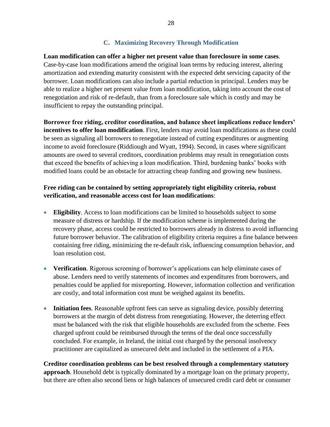# **C. Maximizing Recovery Through Modification**

**Loan modification can offer a higher net present value than foreclosure in some cases**. Case-by-case loan modifications amend the original loan terms by reducing interest, altering amortization and extending maturity consistent with the expected debt servicing capacity of the borrower. Loan modifications can also include a partial reduction in principal. Lenders may be able to realize a higher net present value from loan modification, taking into account the cost of renegotiation and risk of re-default, than from a foreclosure sale which is costly and may be insufficient to repay the outstanding principal.

**Borrower free riding, creditor coordination, and balance sheet implications reduce lenders' incentives to offer loan modification**. First, lenders may avoid loan modifications as these could be seen as signaling all borrowers to renegotiate instead of cutting expenditures or augmenting income to avoid foreclosure (Riddiough and Wyatt, 1994). Second, in cases where significant amounts are owed to several creditors, coordination problems may result in renegotiation costs that exceed the benefits of achieving a loan modification. Third, burdening banks' books with modified loans could be an obstacle for attracting cheap funding and growing new business.

# **Free riding can be contained by setting appropriately tight eligibility criteria, robust verification, and reasonable access cost for loan modifications**:

- **Eligibility**. Access to loan modifications can be limited to households subject to some measure of distress or hardship. If the modification scheme is implemented during the recovery phase, access could be restricted to borrowers already in distress to avoid influencing future borrower behavior. The calibration of eligibility criteria requires a fine balance between containing free riding, minimizing the re-default risk, influencing consumption behavior, and loan resolution cost.
- **Verification**. Rigorous screening of borrower's applications can help eliminate cases of abuse. Lenders need to verify statements of incomes and expenditures from borrowers, and penalties could be applied for misreporting. However, information collection and verification are costly, and total information cost must be weighed against its benefits.
- **Initiation fees**. Reasonable upfront fees can serve as signaling device, possibly deterring borrowers at the margin of debt distress from renegotiating. However, the deterring effect must be balanced with the risk that eligible households are excluded from the scheme. Fees charged upfront could be reimbursed through the terms of the deal once successfully concluded. For example, in Ireland, the initial cost charged by the personal insolvency practitioner are capitalized as unsecured debt and included in the settlement of a PIA.

**Creditor coordination problems can be best resolved through a complementary statutory approach**. Household debt is typically dominated by a mortgage loan on the primary property, but there are often also second liens or high balances of unsecured credit card debt or consumer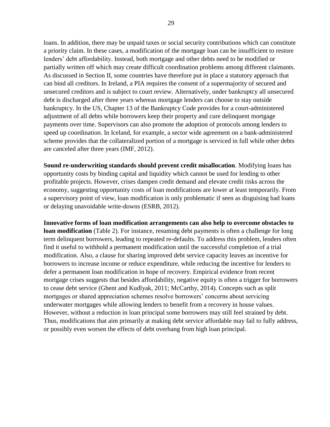loans. In addition, there may be unpaid taxes or social security contributions which can constitute a priority claim. In these cases, a modification of the mortgage loan can be insufficient to restore lenders' debt affordability. Instead, both mortgage and other debts need to be modified or partially written off which may create difficult coordination problems among different claimants. As discussed in Section II, some countries have therefore put in place a statutory approach that can bind all creditors. In Ireland, a PIA requires the consent of a supermajority of secured and unsecured creditors and is subject to court review. Alternatively, under bankruptcy all unsecured debt is discharged after three years whereas mortgage lenders can choose to stay outside bankruptcy. In the US, Chapter 13 of the Bankruptcy Code provides for a court-administered adjustment of all debts while borrowers keep their property and cure delinquent mortgage payments over time. Supervisors can also promote the adoption of protocols among lenders to speed up coordination. In Iceland, for example, a sector wide agreement on a bank-administered scheme provides that the collateralized portion of a mortgage is serviced in full while other debts are canceled after three years (IMF, 2012).

**Sound re-underwriting standards should prevent credit misallocation**. Modifying loans has opportunity costs by binding capital and liquidity which cannot be used for lending to other profitable projects. However, crises dampen credit demand and elevate credit risks across the economy, suggesting opportunity costs of loan modifications are lower at least temporarily. From a supervisory point of view, loan modification is only problematic if seen as disguising bad loans or delaying unavoidable write-downs (ESRB, 2012).

**Innovative forms of loan modification arrangements can also help to overcome obstacles to loan modification** (Table 2). For instance, resuming debt payments is often a challenge for long term delinquent borrowers, leading to repeated re-defaults. To address this problem, lenders often find it useful to withhold a permanent modification until the successful completion of a trial modification. Also, a clause for sharing improved debt service capacity leaves an incentive for borrowers to increase income or reduce expenditure, while reducing the incentive for lenders to defer a permanent loan modification in hope of recovery. Empirical evidence from recent mortgage crises suggests that besides affordability, negative equity is often a trigger for borrowers to cease debt service (Ghent and Kudlyak, 2011; McCarthy, 2014). Concepts such as split mortgages or shared appreciation schemes resolve borrowers' concerns about servicing underwater mortgages while allowing lenders to benefit from a recovery in house values. However, without a reduction in loan principal some borrowers may still feel strained by debt. Thus, modifications that aim primarily at making debt service affordable may fail to fully address, or possibly even worsen the effects of debt overhang from high loan principal.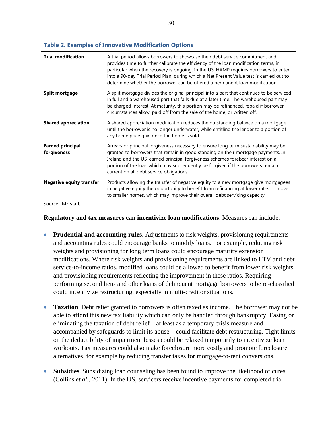| <b>Trial modification</b>              | A trial period allows borrowers to showcase their debt service commitment and<br>provides time to further calibrate the efficiency of the loan modification terms, in<br>particular when the recovery is ongoing. In the US, HAMP requires borrowers to enter<br>into a 90-day Trial Period Plan, during which a Net Present Value test is carried out to<br>determine whether the borrower can be offered a permanent loan modification. |
|----------------------------------------|-------------------------------------------------------------------------------------------------------------------------------------------------------------------------------------------------------------------------------------------------------------------------------------------------------------------------------------------------------------------------------------------------------------------------------------------|
| Split mortgage                         | A split mortgage divides the original principal into a part that continues to be serviced<br>in full and a warehoused part that falls due at a later time. The warehoused part may<br>be charged interest. At maturity, this portion may be refinanced, repaid if borrower<br>circumstances allow, paid off from the sale of the home, or written off.                                                                                    |
| <b>Shared appreciation</b>             | A shared appreciation modification reduces the outstanding balance on a mortgage<br>until the borrower is no longer underwater, while entitling the lender to a portion of<br>any home price gain once the home is sold.                                                                                                                                                                                                                  |
| <b>Earned principal</b><br>forgiveness | Arrears or principal forgiveness necessary to ensure long term sustainability may be<br>granted to borrowers that remain in good standing on their mortgage payments. In<br>Ireland and the US, earned principal forgiveness schemes forebear interest on a<br>portion of the loan which may subsequently be forgiven if the borrowers remain<br>current on all debt service obligations.                                                 |
| <b>Negative equity transfer</b>        | Products allowing the transfer of negative equity to a new mortgage give mortgagees<br>in negative equity the opportunity to benefit from refinancing at lower rates or move<br>to smaller homes, which may improve their overall debt servicing capacity.                                                                                                                                                                                |

#### **Table 2. Examples of Innovative Modification Options**

Source: IMF staff.

#### **Regulatory and tax measures can incentivize loan modifications**. Measures can include:

- **Prudential and accounting rules**. Adjustments to risk weights, provisioning requirements and accounting rules could encourage banks to modify loans. For example, reducing risk weights and provisioning for long term loans could encourage maturity extension modifications. Where risk weights and provisioning requirements are linked to LTV and debt service-to-income ratios, modified loans could be allowed to benefit from lower risk weights and provisioning requirements reflecting the improvement in these ratios. Requiring performing second liens and other loans of delinquent mortgage borrowers to be re-classified could incentivize restructuring, especially in multi-creditor situations.
- **Taxation**. Debt relief granted to borrowers is often taxed as income. The borrower may not be able to afford this new tax liability which can only be handled through bankruptcy. Easing or eliminating the taxation of debt relief—at least as a temporary crisis measure and accompanied by safeguards to limit its abuse—could facilitate debt restructuring. Tight limits on the deductibility of impairment losses could be relaxed temporarily to incentivize loan workouts. Tax measures could also make foreclosure more costly and promote foreclosure alternatives, for example by reducing transfer taxes for mortgage-to-rent conversions.
- **Subsidies**. Subsidizing loan counseling has been found to improve the likelihood of cures (Collins *et al.*, 2011). In the US, servicers receive incentive payments for completed trial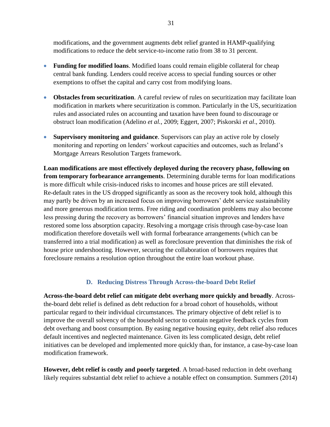modifications, and the government augments debt relief granted in HAMP-qualifying modifications to reduce the debt service-to-income ratio from 38 to 31 percent.

- **Funding for modified loans**. Modified loans could remain eligible collateral for cheap central bank funding. Lenders could receive access to special funding sources or other exemptions to offset the capital and carry cost from modifying loans.
- **Obstacles from securitization**. A careful review of rules on securitization may facilitate loan modification in markets where securitization is common. Particularly in the US, securitization rules and associated rules on accounting and taxation have been found to discourage or obstruct loan modification (Adelino *et al.*, 2009; Eggert, 2007; Piskorski *et al*., 2010).
- **Supervisory monitoring and guidance**. Supervisors can play an active role by closely monitoring and reporting on lenders' workout capacities and outcomes, such as Ireland's Mortgage Arrears Resolution Targets framework.

**Loan modifications are most effectively deployed during the recovery phase, following on from temporary forbearance arrangements**. Determining durable terms for loan modifications is more difficult while crisis-induced risks to incomes and house prices are still elevated. Re-default rates in the US dropped significantly as soon as the recovery took hold, although this may partly be driven by an increased focus on improving borrowers' debt service sustainability and more generous modification terms. Free riding and coordination problems may also become less pressing during the recovery as borrowers' financial situation improves and lenders have restored some loss absorption capacity. Resolving a mortgage crisis through case-by-case loan modification therefore dovetails well with formal forbearance arrangements (which can be transferred into a trial modification) as well as foreclosure prevention that diminishes the risk of house price undershooting. However, securing the collaboration of borrowers requires that foreclosure remains a resolution option throughout the entire loan workout phase.

# **D. Reducing Distress Through Across-the-board Debt Relief**

**Across-the-board debt relief can mitigate debt overhang more quickly and broadly**. Acrossthe-board debt relief is defined as debt reduction for a broad cohort of households, without particular regard to their individual circumstances. The primary objective of debt relief is to improve the overall solvency of the household sector to contain negative feedback cycles from debt overhang and boost consumption. By easing negative housing equity, debt relief also reduces default incentives and neglected maintenance. Given its less complicated design, debt relief initiatives can be developed and implemented more quickly than, for instance, a case-by-case loan modification framework.

**However, debt relief is costly and poorly targeted**. A broad-based reduction in debt overhang likely requires substantial debt relief to achieve a notable effect on consumption. Summers (2014)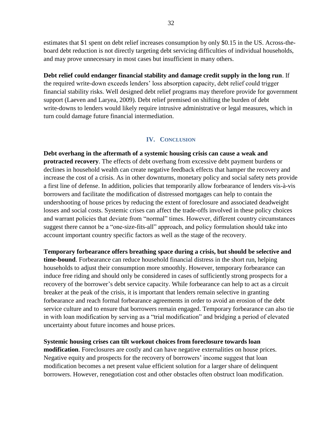estimates that \$1 spent on debt relief increases consumption by only \$0.15 in the US. Across-theboard debt reduction is not directly targeting debt servicing difficulties of individual households, and may prove unnecessary in most cases but insufficient in many others.

# **Debt relief could endanger financial stability and damage credit supply in the long run**. If

the required write-down exceeds lenders' loss absorption capacity, debt relief could trigger financial stability risks. Well designed debt relief programs may therefore provide for government support (Laeven and Laryea, 2009). Debt relief premised on shifting the burden of debt write-downs to lenders would likely require intrusive administrative or legal measures, which in turn could damage future financial intermediation.

# **IV. CONCLUSION**

**Debt overhang in the aftermath of a systemic housing crisis can cause a weak and protracted recovery**. The effects of debt overhang from excessive debt payment burdens or declines in household wealth can create negative feedback effects that hamper the recovery and increase the cost of a crisis. As in other downturns, monetary policy and social safety nets provide a first line of defense. In addition, policies that temporarily allow forbearance of lenders vis-à-vis borrowers and facilitate the modification of distressed mortgages can help to contain the undershooting of house prices by reducing the extent of foreclosure and associated deadweight losses and social costs. Systemic crises can affect the trade-offs involved in these policy choices and warrant policies that deviate from "normal" times. However, different country circumstances suggest there cannot be a "one-size-fits-all" approach, and policy formulation should take into account important country specific factors as well as the stage of the recovery.

**Temporary forbearance offers breathing space during a crisis, but should be selective and time-bound**. Forbearance can reduce household financial distress in the short run, helping households to adjust their consumption more smoothly. However, temporary forbearance can induce free riding and should only be considered in cases of sufficiently strong prospects for a recovery of the borrower's debt service capacity. While forbearance can help to act as a circuit breaker at the peak of the crisis, it is important that lenders remain selective in granting forbearance and reach formal forbearance agreements in order to avoid an erosion of the debt service culture and to ensure that borrowers remain engaged. Temporary forbearance can also tie in with loan modification by serving as a "trial modification" and bridging a period of elevated uncertainty about future incomes and house prices.

**Systemic housing crises can tilt workout choices from foreclosure towards loan modification**. Foreclosures are costly and can have negative externalities on house prices. Negative equity and prospects for the recovery of borrowers' income suggest that loan modification becomes a net present value efficient solution for a larger share of delinquent borrowers. However, renegotiation cost and other obstacles often obstruct loan modification.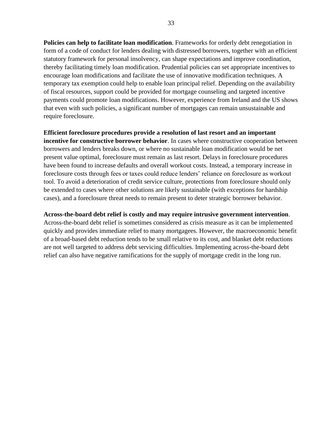**Policies can help to facilitate loan modification**. Frameworks for orderly debt renegotiation in form of a code of conduct for lenders dealing with distressed borrowers, together with an efficient statutory framework for personal insolvency, can shape expectations and improve coordination, thereby facilitating timely loan modification. Prudential policies can set appropriate incentives to encourage loan modifications and facilitate the use of innovative modification techniques. A temporary tax exemption could help to enable loan principal relief. Depending on the availability of fiscal resources, support could be provided for mortgage counseling and targeted incentive payments could promote loan modifications. However, experience from Ireland and the US shows that even with such policies, a significant number of mortgages can remain unsustainable and require foreclosure.

#### **Efficient foreclosure procedures provide a resolution of last resort and an important**

**incentive for constructive borrower behavior**. In cases where constructive cooperation between borrowers and lenders breaks down, or where no sustainable loan modification would be net present value optimal, foreclosure must remain as last resort. Delays in foreclosure procedures have been found to increase defaults and overall workout costs. Instead, a temporary increase in foreclosure costs through fees or taxes could reduce lenders' reliance on foreclosure as workout tool. To avoid a deterioration of credit service culture, protections from foreclosure should only be extended to cases where other solutions are likely sustainable (with exceptions for hardship cases), and a foreclosure threat needs to remain present to deter strategic borrower behavior.

# **Across-the-board debt relief is costly and may require intrusive government intervention**.

Across-the-board debt relief is sometimes considered as crisis measure as it can be implemented quickly and provides immediate relief to many mortgagees. However, the macroeconomic benefit of a broad-based debt reduction tends to be small relative to its cost, and blanket debt reductions are not well targeted to address debt servicing difficulties. Implementing across-the-board debt relief can also have negative ramifications for the supply of mortgage credit in the long run.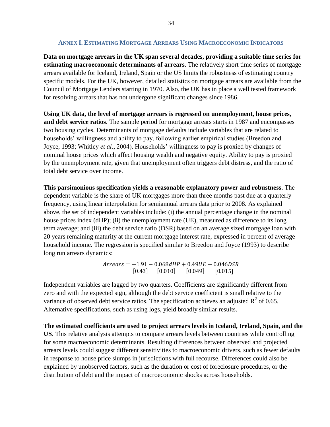#### **ANNEX I. ESTIMATING MORTGAGE ARREARS USING MACROECONOMIC INDICATORS**

<span id="page-33-0"></span>**Data on mortgage arrears in the UK span several decades, providing a suitable time series for estimating macroeconomic determinants of arrears**. The relatively short time series of mortgage arrears available for Iceland, Ireland, Spain or the US limits the robustness of estimating country specific models. For the UK, however, detailed statistics on mortgage arrears are available from the Council of Mortgage Lenders starting in 1970. Also, the UK has in place a well tested framework for resolving arrears that has not undergone significant changes since 1986.

**Using UK data, the level of mortgage arrears is regressed on unemployment, house prices, and debt service ratios**. The sample period for mortgage arrears starts in 1987 and encompasses two housing cycles. Determinants of mortgage defaults include variables that are related to households' willingness and ability to pay, following earlier empirical studies (Breedon and Joyce, 1993; Whitley *et al.*, 2004). Households' willingness to pay is proxied by changes of nominal house prices which affect housing wealth and negative equity. Ability to pay is proxied by the unemployment rate, given that unemployment often triggers debt distress, and the ratio of total debt service over income.

**This parsimonious specification yields a reasonable explanatory power and robustness**. The dependent variable is the share of UK mortgages more than three months past due at a quarterly frequency, using linear interpolation for semiannual arrears data prior to 2008. As explained above, the set of independent variables include: (i) the annual percentage change in the nominal house prices index (dHP); (ii) the unemployment rate (UE), measured as difference to its long term average; and (iii) the debt service ratio (DSR) based on an average sized mortgage loan with 20 years remaining maturity at the current mortgage interest rate, expressed in percent of average household income. The regression is specified similar to Breedon and Joyce (1993) to describe long run arrears dynamics:

> $Arrears = -1.91 - 0.068dHP + 0.49UE + 0.046DSR$  $[0.43]$   $[0.010]$   $[0.049]$  $[0.015]$

Independent variables are lagged by two quarters. Coefficients are significantly different from zero and with the expected sign, although the debt service coefficient is small relative to the variance of observed debt service ratios. The specification achieves an adjusted  $R^2$  of 0.65. Alternative specifications, such as using logs, yield broadly similar results.

**The estimated coefficients are used to project arrears levels in Iceland, Ireland, Spain, and the US**. This relative analysis attempts to compare arrears levels between countries while controlling for some macroeconomic determinants. Resulting differences between observed and projected arrears levels could suggest different sensitivities to macroeconomic drivers, such as fewer defaults in response to house price slumps in jurisdictions with full recourse. Differences could also be explained by unobserved factors, such as the duration or cost of foreclosure procedures, or the distribution of debt and the impact of macroeconomic shocks across households.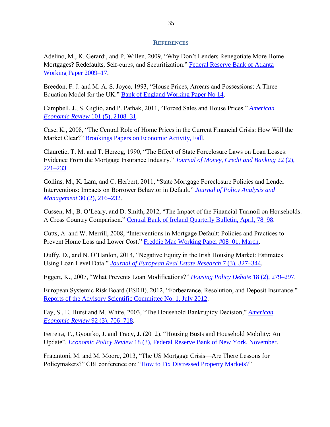#### **REFERENCES**

Adelino, M., K. Gerardi, and P. Willen, 2009, "Why Don't Lenders Renegotiate More Home Mortgages? Redefaults, Self-cures, and Securitization." [Federal Reserve Bank of Atlanta](https://www.bostonfed.org/economic/ppdp/2009/ppdp0904.pdf)  [Working Paper 2009–17.](https://www.bostonfed.org/economic/ppdp/2009/ppdp0904.pdf)

Breedon, F. J. and M. A. S. Joyce, 1993, "House Prices, Arrears and Possessions: A Three Equation Model for the UK." [Bank of England Working Paper No 14.](http://www.bankofengland.co.uk/archive/Documents/historicpubs/workingpapers/1993/wp14.pdf)

Campbell, J., S. Giglio, and P. Pathak, 2011, "Forced Sales and House Prices." *[American](https://www.aeaweb.org/atypon.php?return_to=/doi/pdfplus/10.1257/aer.101.5.2108)  [Economic Review](https://www.aeaweb.org/atypon.php?return_to=/doi/pdfplus/10.1257/aer.101.5.2108)* 101 (5), 2108–31.

Case, K., 2008, "The Central Role of Home Prices in the Current Financial Crisis: How Will the Market Clear?" [Brookings Papers on Economic Activity, Fall.](http://www.brookings.edu/~/media/Projects/BPEA/Fall%202008/2008b_bpea_case.PDF)

Clauretie, T. M. and T. Herzog, 1990, "The Effect of State Foreclosure Laws on Loan Losses: Evidence From the Mortgage Insurance Industry." *[Journal of Money, Credit and Banking](http://www.jstor.org/stable/1992309)* 22 (2), [221–233.](http://www.jstor.org/stable/1992309)

Collins, M., K. Lam, and C. Herbert, 2011, "State Mortgage Foreclosure Policies and Lender Interventions: Impacts on Borrower Behavior in Default." *[Journal of Policy Analysis and](http://onlinelibrary.wiley.com/doi/10.1002/pam.20559/pdf)  Management* [30 \(2\), 216–232.](http://onlinelibrary.wiley.com/doi/10.1002/pam.20559/pdf)

Cussen, M., B. O'Leary, and D. Smith, 2012, "The Impact of the Financial Turmoil on Households: A Cross Country Comparison." [Central Bank of Ireland Quarterly Bulletin, April, 78–98.](http://www.centralbank.ie/publications/Documents/Quarterly%20Bulletin%20Q2%202012.pdf)

Cutts, A. and W. Merrill, 2008, "Interventions in Mortgage Default: Policies and Practices to Prevent Home Loss and Lower Cost." [Freddie Mac Working Paper #08–01, March.](http://www.clevelandfed.org/our_region/community_development/pdf/interventions_in_mortgage_default_frank.pdf)

Duffy, D., and N. O'Hanlon, 2014, "Negative Equity in the Irish Housing Market: Estimates Using Loan Level Data." *[Journal of European Real Estate Research](http://www.emeraldinsight.com/doi/abs/10.1108/JERER-01-2014-0009)* 7 (3), 327–344.

Eggert, K., 2007, "What Prevents Loan Modifications?" *[Housing Policy Debate](http://www.tandfonline.com/toc/rhpd20/18/2)* 18 (2), 279–297.

European Systemic Risk Board (ESRB), 2012, "Forbearance, Resolution, and Deposit Insurance." [Reports of the Advisory Scientific Committee No. 1, July 2012.](https://www.esrb.europa.eu/pub/pdf/asc/Reports_ASC_1_1207.pdf)

Fay, S., E. Hurst and M. White, 2003, "The Household Bankruptcy Decision," *[American](https://www.aeaweb.org/atypon.php?return_to=/doi/pdfplus/10.1257/00028280260136327)  [Economic Review](https://www.aeaweb.org/atypon.php?return_to=/doi/pdfplus/10.1257/00028280260136327)* 92 (3), 706–718.

Ferreira, F., Gyourko, J. and Tracy, J. (2012). "Housing Busts and Household Mobility: An Update", *Economic Policy Review* [18 \(3\), Federal Reserve Bank of New York, November.](http://www.ny.frb.org/research/epr/12v18n3/1210ferr.html)

Fratantoni, M. and M. Moore, 2013, "The US Mortgage Crisis—Are There Lessons for Policymakers?" CBI conference on: ["How to Fix Distressed Property Markets?"](http://www.centralbank.ie/stability/conferences/Pages/distressedpropertymarkets2013.aspx)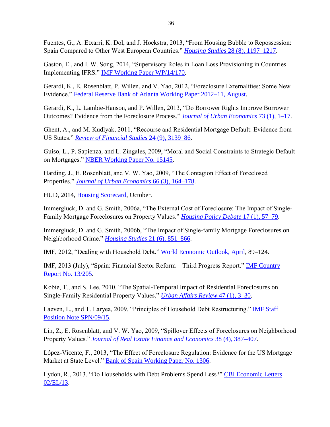Fuentes, G., A. Etxarri, K. Dol, and J. Hoekstra, 2013, "From Housing Bubble to Repossession: Spain Compared to Other West European Countries." *Housing Studies* [28 \(8\), 1197–1217.](http://www.tandfonline.com/doi/abs/10.1080/02673037.2013.818622#preview)

Gaston, E., and I. W. Song, 2014, "Supervisory Roles in Loan Loss Provisioning in Countries Implementing IFRS." [IMF Working Paper WP/14/170.](http://www.imf.org/external/pubs/cat/longres.aspx?sk=41918.0)

Gerardi, K., E. Rosenblatt, P. Willen, and V. Yao, 2012, "Foreclosure Externalities: Some New Evidence." [Federal Reserve Bank of Atlanta Working Paper 2012–11, August.](http://www.bostonfed.org/economic/ppdp/2012/ppdp1205.pdf)

Gerardi, K., L. Lambie-Hanson, and P. Willen, 2013, "Do Borrower Rights Improve Borrower Outcomes? Evidence from the Foreclosure Process." *[Journal of Urban Economics](http://www.sciencedirect.com/science/article/pii/S0094119012000423)* 73 (1), 1–17.

Ghent, A., and M. Kudlyak, 2011, "Recourse and Residential Mortgage Default: Evidence from US States." *[Review of Financial Studies](http://rfs.oxfordjournals.org/content/24/9/3139.full.pdf+html)* 24 (9), 3139–86.

Guiso, L., P. Sapienza, and L. Zingales, 2009, "Moral and Social Constraints to Strategic Default on Mortgages." [NBER Working Paper No. 15145.](http://www.nber.org/papers/w15145.pdf)

Harding, J., E. Rosenblatt, and V. W. Yao, 2009, "The Contagion Effect of Foreclosed Properties." *[Journal of Urban Economics](http://www.sciencedirect.com/science/article/pii/S009411900900045X)* 66 (3), 164–178.

HUD, 2014, [Housing Scorecard,](http://portal.hud.gov/hudportal/HUD?src=/initiatives/Housing_Scorecard) October.

Immergluck, D. and G. Smith, 2006a, "The External Cost of Foreclosure: The Impact of Single-Family Mortgage Foreclosures on Property Values." *[Housing Policy Debate](http://www.tandfonline.com/doi/abs/10.1080/10511482.2006.9521561#preview)* 17 (1), 57–79.

Immergluck, D. and G. Smith, 2006b, "The Impact of Single-family Mortgage Foreclosures on Neighborhood Crime." *Housing Studies* [21 \(6\), 851–866.](http://www.prism.gatech.edu/~di17/HousingStudies.pdf)

IMF, 2012, "Dealing with Household Debt." [World Economic Outlook, April,](http://www.imf.org/external/pubs/ft/weo/2012/01/) 89–124.

IMF, 2013 (July), "Spain: Financial Sector Reform—Third Progress Report." [IMF Country](https://www.imf.org/external/pubs/cat/longres.aspx?sk=40776.0)  [Report No. 13/205.](https://www.imf.org/external/pubs/cat/longres.aspx?sk=40776.0)

Kobie, T., and S. Lee, 2010, "The Spatial-Temporal Impact of Residential Foreclosures on Single-Family Residential Property Values," *[Urban Affairs Review](http://uar.sagepub.com/content/47/1/3.short)* 47 (1), 3–30.

Laeven, L., and T. Laryea, 2009, "Principles of Household Debt Restructuring." **IMF Staff** [Position Note SPN/09/15.](https://www.imf.org/external/pubs/cat/longres.aspx?sk=23041.0)

Lin, Z., E. Rosenblatt, and V. W. Yao, 2009, "Spillover Effects of Foreclosures on Neighborhood Property Values." *[Journal of Real Estate Finance and Economics](http://link.springer.com/article/10.1007%2Fs11146-007-9093-z)* 38 (4), 387–407.

López-Vicente, F., 2013, "The Effect of Foreclosure Regulation: Evidence for the US Mortgage Market at State Level." [Bank of Spain Working Paper No. 1306.](http://papers.ssrn.com/sol3/Delivery.cfm/SSRN_ID2264710_code613124.pdf?abstractid=2264710&mirid=1)

Lydon, R., 2013. "Do Households with Debt Problems Spend Less?" [CBI Economic Letters](http://www.centralbank.ie/publications/Documents/Economic_Letter_2013_V2.pdf)  [02/EL/13.](http://www.centralbank.ie/publications/Documents/Economic_Letter_2013_V2.pdf)